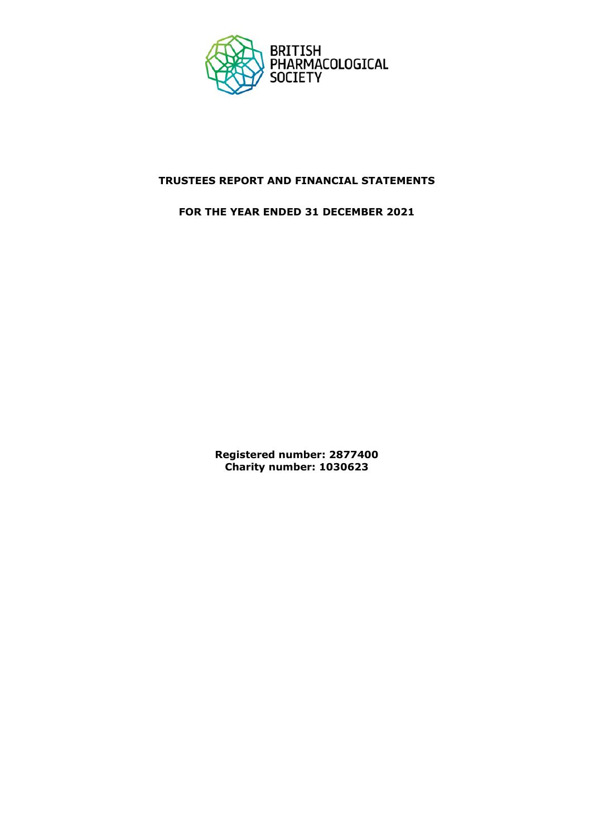

# **TRUSTEES REPORT AND FINANCIAL STATEMENTS**

**FOR THE YEAR ENDED 31 DECEMBER 2021**

**Registered number: 2877400 Charity number: 1030623**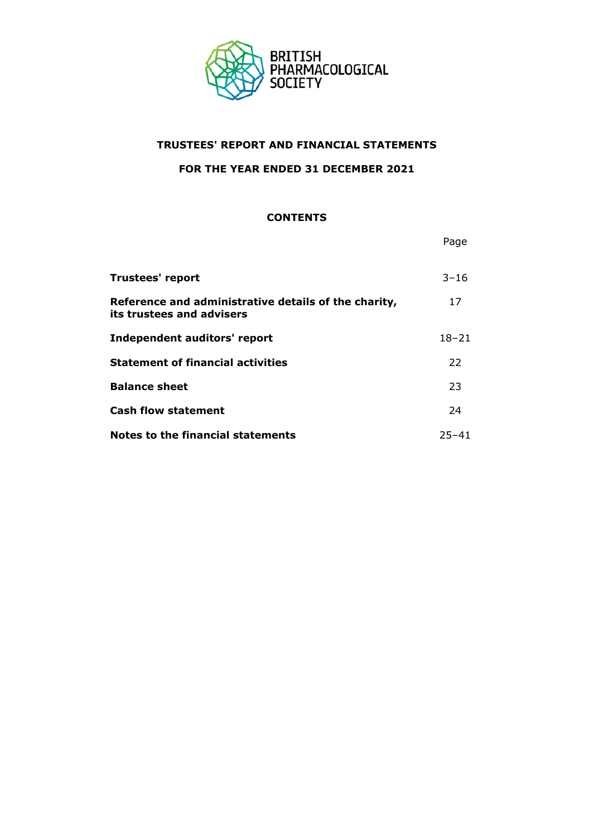

# **TRUSTEES' REPORT AND FINANCIAL STATEMENTS**

## **FOR THE YEAR ENDED 31 DECEMBER 2021**

## **CONTENTS**

Page

| <b>Trustees' report</b>                                                           | $3 - 16$  |
|-----------------------------------------------------------------------------------|-----------|
| Reference and administrative details of the charity,<br>its trustees and advisers | 17        |
| Independent auditors' report                                                      | $18 - 21$ |
| <b>Statement of financial activities</b>                                          | 22        |
| <b>Balance sheet</b>                                                              | 23        |
| <b>Cash flow statement</b>                                                        | 24        |
| Notes to the financial statements                                                 | $25 - 41$ |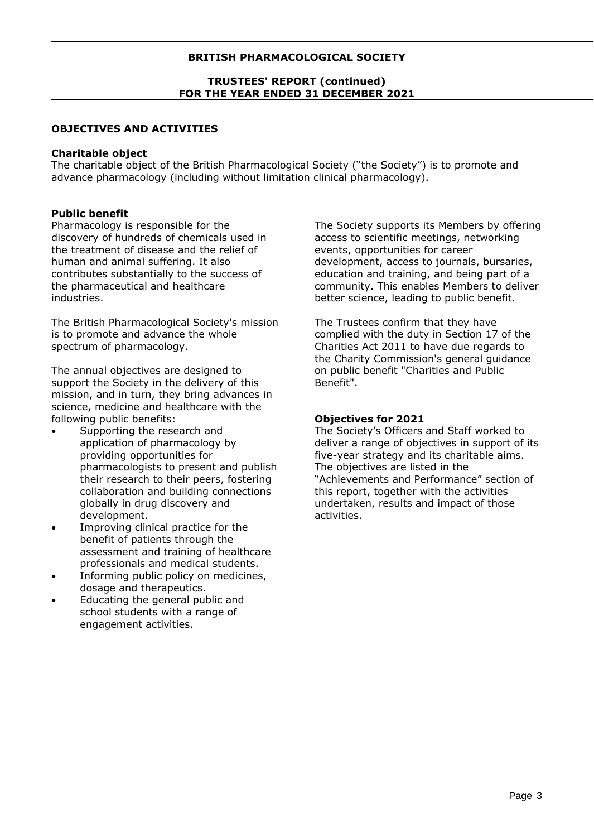## **TRUSTEES' REPORT (continued) FOR THE YEAR ENDED 31 DECEMBER 2021**

## **OBJECTIVES AND ACTIVITIES**

### **Charitable object**

The charitable object of the British Pharmacological Society ("the Society") is to promote and advance pharmacology (including without limitation clinical pharmacology).

### **Public benefit**

Pharmacology is responsible for the discovery of hundreds of chemicals used in the treatment of disease and the relief of human and animal suffering. It also contributes substantially to the success of the pharmaceutical and healthcare industries.

The British Pharmacological Society's mission is to promote and advance the whole spectrum of pharmacology.

The annual objectives are designed to support the Society in the delivery of this mission, and in turn, they bring advances in science, medicine and healthcare with the following public benefits:

- Supporting the research and application of pharmacology by providing opportunities for pharmacologists to present and publish their research to their peers, fostering collaboration and building connections globally in drug discovery and development.
- Improving clinical practice for the benefit of patients through the assessment and training of healthcare professionals and medical students.
- Informing public policy on medicines, dosage and therapeutics.
- Educating the general public and school students with a range of engagement activities.

The Society supports its Members by offering access to scientific meetings, networking events, opportunities for career development, access to journals, bursaries, education and training, and being part of a community. This enables Members to deliver better science, leading to public benefit.

The Trustees confirm that they have complied with the duty in Section 17 of the Charities Act 2011 to have due regards to the Charity Commission's general guidance on public benefit "Charities and Public Benefit".

## **Objectives for 2021**

The Society's Officers and Staff worked to deliver a range of objectives in support of its five-year strategy and its charitable aims. The objectives are listed in the "Achievements and Performance" section of this report, together with the activities undertaken, results and impact of those activities.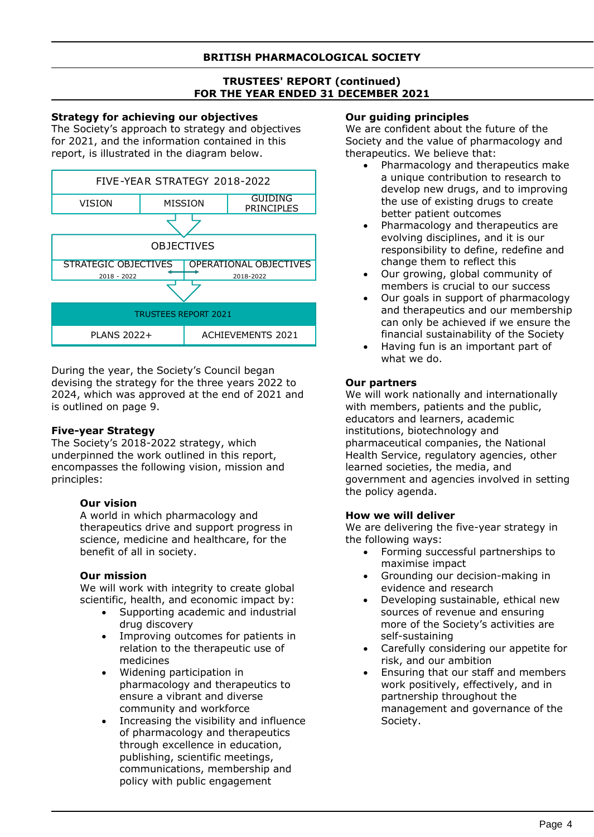## **Strategy for achieving our objectives**

The Society's approach to strategy and objectives for 2021, and the information contained in this report, is illustrated in the diagram below.



During the year, the Society's Council began devising the strategy for the three years 2022 to 2024, which was approved at the end of 2021 and is outlined on page 9.

## **Five-year Strategy**

The Society's 2018-2022 strategy, which underpinned the work outlined in this report, encompasses the following vision, mission and principles:

## **Our vision**

A world in which pharmacology and therapeutics drive and support progress in science, medicine and healthcare, for the benefit of all in society.

## **Our mission**

We will work with integrity to create global scientific, health, and economic impact by:

- Supporting academic and industrial drug discovery
- Improving outcomes for patients in relation to the therapeutic use of medicines
- Widening participation in pharmacology and therapeutics to ensure a vibrant and diverse community and workforce
- Increasing the visibility and influence of pharmacology and therapeutics through excellence in education, publishing, scientific meetings, communications, membership and policy with public engagement

## **Our guiding principles**

We are confident about the future of the Society and the value of pharmacology and therapeutics. We believe that:

- Pharmacology and therapeutics make a unique contribution to research to develop new drugs, and to improving the use of existing drugs to create better patient outcomes
- Pharmacology and therapeutics are evolving disciplines, and it is our responsibility to define, redefine and change them to reflect this
- Our growing, global community of members is crucial to our success
- Our goals in support of pharmacology and therapeutics and our membership can only be achieved if we ensure the financial sustainability of the Society
- Having fun is an important part of what we do.

## **Our partners**

We will work nationally and internationally with members, patients and the public, educators and learners, academic institutions, biotechnology and pharmaceutical companies, the National Health Service, regulatory agencies, other learned societies, the media, and government and agencies involved in setting the policy agenda.

## **How we will deliver**

We are delivering the five-year strategy in the following ways:

- Forming successful partnerships to maximise impact
- Grounding our decision-making in evidence and research
- Developing sustainable, ethical new sources of revenue and ensuring more of the Society's activities are self-sustaining
- Carefully considering our appetite for risk, and our ambition
- Ensuring that our staff and members work positively, effectively, and in partnership throughout the management and governance of the Society.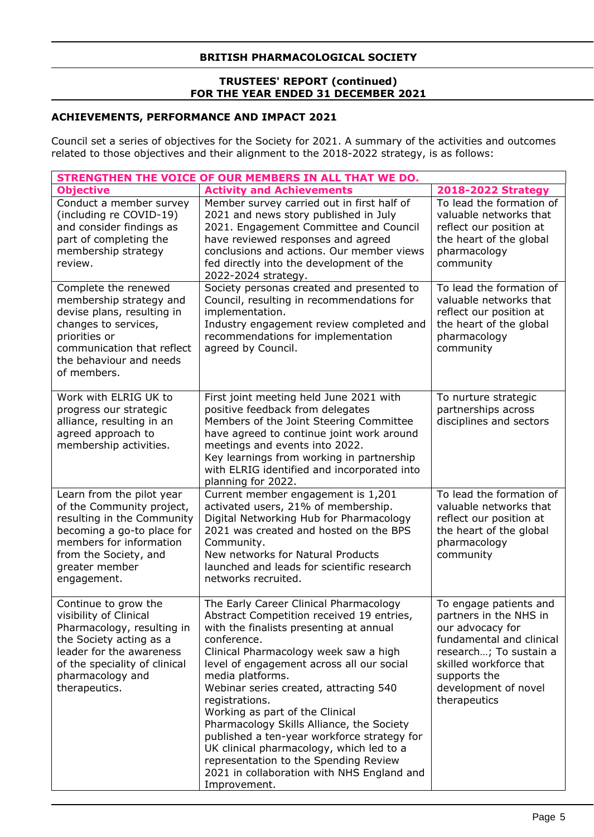## **TRUSTEES' REPORT (continued) FOR THE YEAR ENDED 31 DECEMBER 2021**

## **ACHIEVEMENTS, PERFORMANCE AND IMPACT 2021**

Council set a series of objectives for the Society for 2021. A summary of the activities and outcomes related to those objectives and their alignment to the 2018-2022 strategy, is as follows:

| STRENGTHEN THE VOICE OF OUR MEMBERS IN ALL THAT WE DO.                                                                                                                                                    |                                                                                                                                                                                                                                                                                                                                                                                                                                                                                                                                                                                                       |                                                                                                                                                                                                              |  |  |  |
|-----------------------------------------------------------------------------------------------------------------------------------------------------------------------------------------------------------|-------------------------------------------------------------------------------------------------------------------------------------------------------------------------------------------------------------------------------------------------------------------------------------------------------------------------------------------------------------------------------------------------------------------------------------------------------------------------------------------------------------------------------------------------------------------------------------------------------|--------------------------------------------------------------------------------------------------------------------------------------------------------------------------------------------------------------|--|--|--|
| <b>Objective</b>                                                                                                                                                                                          | <b>Activity and Achievements</b>                                                                                                                                                                                                                                                                                                                                                                                                                                                                                                                                                                      | 2018-2022 Strategy                                                                                                                                                                                           |  |  |  |
| Conduct a member survey<br>(including re COVID-19)<br>and consider findings as<br>part of completing the<br>membership strategy<br>review.                                                                | Member survey carried out in first half of<br>2021 and news story published in July<br>2021. Engagement Committee and Council<br>have reviewed responses and agreed<br>conclusions and actions. Our member views<br>fed directly into the development of the<br>2022-2024 strategy.                                                                                                                                                                                                                                                                                                                   | To lead the formation of<br>valuable networks that<br>reflect our position at<br>the heart of the global<br>pharmacology<br>community                                                                        |  |  |  |
| Complete the renewed<br>membership strategy and<br>devise plans, resulting in<br>changes to services,<br>priorities or<br>communication that reflect<br>the behaviour and needs<br>of members.            | Society personas created and presented to<br>Council, resulting in recommendations for<br>implementation.<br>Industry engagement review completed and<br>recommendations for implementation<br>agreed by Council.                                                                                                                                                                                                                                                                                                                                                                                     | To lead the formation of<br>valuable networks that<br>reflect our position at<br>the heart of the global<br>pharmacology<br>community                                                                        |  |  |  |
| Work with ELRIG UK to<br>progress our strategic<br>alliance, resulting in an<br>agreed approach to<br>membership activities.                                                                              | First joint meeting held June 2021 with<br>positive feedback from delegates<br>Members of the Joint Steering Committee<br>have agreed to continue joint work around<br>meetings and events into 2022.<br>Key learnings from working in partnership<br>with ELRIG identified and incorporated into<br>planning for 2022.                                                                                                                                                                                                                                                                               | To nurture strategic<br>partnerships across<br>disciplines and sectors                                                                                                                                       |  |  |  |
| Learn from the pilot year<br>of the Community project,<br>resulting in the Community<br>becoming a go-to place for<br>members for information<br>from the Society, and<br>greater member<br>engagement.   | Current member engagement is 1,201<br>activated users, 21% of membership.<br>Digital Networking Hub for Pharmacology<br>2021 was created and hosted on the BPS<br>Community.<br>New networks for Natural Products<br>launched and leads for scientific research<br>networks recruited.                                                                                                                                                                                                                                                                                                                | To lead the formation of<br>valuable networks that<br>reflect our position at<br>the heart of the global<br>pharmacology<br>community                                                                        |  |  |  |
| Continue to grow the<br>visibility of Clinical<br>Pharmacology, resulting in<br>the Society acting as a<br>leader for the awareness<br>of the speciality of clinical<br>pharmacology and<br>therapeutics. | The Early Career Clinical Pharmacology<br>Abstract Competition received 19 entries,<br>with the finalists presenting at annual<br>conference.<br>Clinical Pharmacology week saw a high<br>level of engagement across all our social<br>media platforms.<br>Webinar series created, attracting 540<br>registrations.<br>Working as part of the Clinical<br>Pharmacology Skills Alliance, the Society<br>published a ten-year workforce strategy for<br>UK clinical pharmacology, which led to a<br>representation to the Spending Review<br>2021 in collaboration with NHS England and<br>Improvement. | To engage patients and<br>partners in the NHS in<br>our advocacy for<br>fundamental and clinical<br>research; To sustain a<br>skilled workforce that<br>supports the<br>development of novel<br>therapeutics |  |  |  |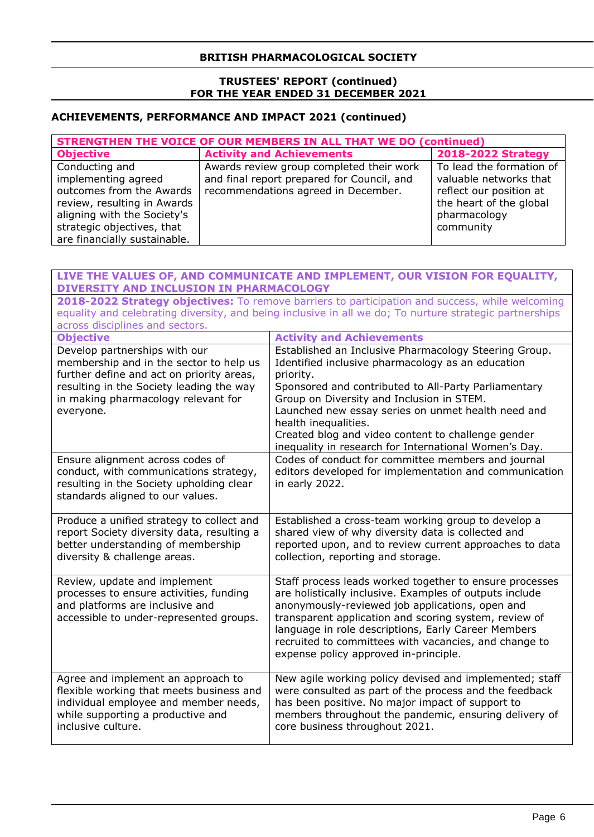## **TRUSTEES' REPORT (continued) FOR THE YEAR ENDED 31 DECEMBER 2021**

# **ACHIEVEMENTS, PERFORMANCE AND IMPACT 2021 (continued)**

| <b>STRENGTHEN THE VOICE OF OUR MEMBERS IN ALL THAT WE DO (continued)</b> |                                            |                           |  |  |  |
|--------------------------------------------------------------------------|--------------------------------------------|---------------------------|--|--|--|
| <b>Objective</b>                                                         | <b>Activity and Achievements</b>           | <b>2018-2022 Strategy</b> |  |  |  |
| Conducting and                                                           | Awards review group completed their work   | To lead the formation of  |  |  |  |
| implementing agreed                                                      | and final report prepared for Council, and | valuable networks that    |  |  |  |
| outcomes from the Awards                                                 | recommendations agreed in December.        | reflect our position at   |  |  |  |
| review, resulting in Awards                                              |                                            | the heart of the global   |  |  |  |
| aligning with the Society's                                              |                                            | pharmacology              |  |  |  |
| strategic objectives, that                                               |                                            | community                 |  |  |  |
| are financially sustainable.                                             |                                            |                           |  |  |  |

|                                                                                                         | LIVE THE VALUES OF, AND COMMUNICATE AND IMPLEMENT, OUR VISION FOR EQUALITY,                                |  |  |  |  |  |
|---------------------------------------------------------------------------------------------------------|------------------------------------------------------------------------------------------------------------|--|--|--|--|--|
| DIVERSITY AND INCLUSION IN PHARMACOLOGY                                                                 |                                                                                                            |  |  |  |  |  |
| 2018-2022 Strategy objectives: To remove barriers to participation and success, while welcoming         |                                                                                                            |  |  |  |  |  |
| equality and celebrating diversity, and being inclusive in all we do; To nurture strategic partnerships |                                                                                                            |  |  |  |  |  |
| across disciplines and sectors.                                                                         |                                                                                                            |  |  |  |  |  |
| <b>Objective</b>                                                                                        | <b>Activity and Achievements</b>                                                                           |  |  |  |  |  |
| Develop partnerships with our                                                                           | Established an Inclusive Pharmacology Steering Group.                                                      |  |  |  |  |  |
| membership and in the sector to help us                                                                 | Identified inclusive pharmacology as an education                                                          |  |  |  |  |  |
| further define and act on priority areas,                                                               | priority.                                                                                                  |  |  |  |  |  |
| resulting in the Society leading the way                                                                | Sponsored and contributed to All-Party Parliamentary                                                       |  |  |  |  |  |
| in making pharmacology relevant for                                                                     | Group on Diversity and Inclusion in STEM.                                                                  |  |  |  |  |  |
| everyone.                                                                                               | Launched new essay series on unmet health need and<br>health inequalities.                                 |  |  |  |  |  |
|                                                                                                         | Created blog and video content to challenge gender                                                         |  |  |  |  |  |
|                                                                                                         | inequality in research for International Women's Day.                                                      |  |  |  |  |  |
| Ensure alignment across codes of                                                                        | Codes of conduct for committee members and journal                                                         |  |  |  |  |  |
| conduct, with communications strategy,                                                                  | editors developed for implementation and communication                                                     |  |  |  |  |  |
| resulting in the Society upholding clear                                                                | in early 2022.                                                                                             |  |  |  |  |  |
| standards aligned to our values.                                                                        |                                                                                                            |  |  |  |  |  |
|                                                                                                         |                                                                                                            |  |  |  |  |  |
| Produce a unified strategy to collect and                                                               | Established a cross-team working group to develop a                                                        |  |  |  |  |  |
| report Society diversity data, resulting a                                                              | shared view of why diversity data is collected and                                                         |  |  |  |  |  |
| better understanding of membership                                                                      | reported upon, and to review current approaches to data                                                    |  |  |  |  |  |
| diversity & challenge areas.                                                                            | collection, reporting and storage.                                                                         |  |  |  |  |  |
|                                                                                                         |                                                                                                            |  |  |  |  |  |
| Review, update and implement                                                                            | Staff process leads worked together to ensure processes                                                    |  |  |  |  |  |
| processes to ensure activities, funding<br>and platforms are inclusive and                              | are holistically inclusive. Examples of outputs include<br>anonymously-reviewed job applications, open and |  |  |  |  |  |
| accessible to under-represented groups.                                                                 | transparent application and scoring system, review of                                                      |  |  |  |  |  |
|                                                                                                         | language in role descriptions, Early Career Members                                                        |  |  |  |  |  |
|                                                                                                         | recruited to committees with vacancies, and change to                                                      |  |  |  |  |  |
|                                                                                                         | expense policy approved in-principle.                                                                      |  |  |  |  |  |
|                                                                                                         |                                                                                                            |  |  |  |  |  |
| Agree and implement an approach to                                                                      | New agile working policy devised and implemented; staff                                                    |  |  |  |  |  |
| flexible working that meets business and                                                                | were consulted as part of the process and the feedback                                                     |  |  |  |  |  |
| individual employee and member needs,                                                                   | has been positive. No major impact of support to                                                           |  |  |  |  |  |
| while supporting a productive and                                                                       | members throughout the pandemic, ensuring delivery of                                                      |  |  |  |  |  |
| inclusive culture.                                                                                      | core business throughout 2021.                                                                             |  |  |  |  |  |
|                                                                                                         |                                                                                                            |  |  |  |  |  |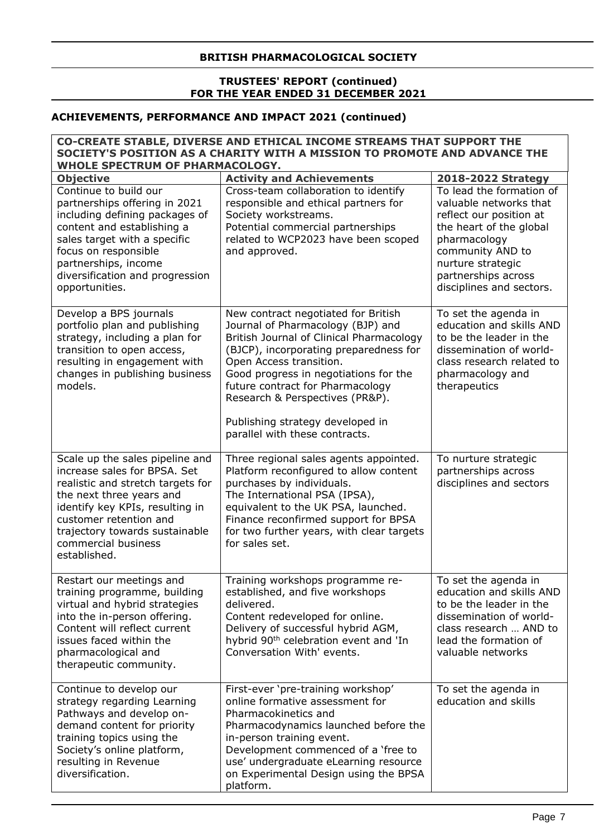## **TRUSTEES' REPORT (continued) FOR THE YEAR ENDED 31 DECEMBER 2021**

# **ACHIEVEMENTS, PERFORMANCE AND IMPACT 2021 (continued)**

| CO-CREATE STABLE, DIVERSE AND ETHICAL INCOME STREAMS THAT SUPPORT THE<br>SOCIETY'S POSITION AS A CHARITY WITH A MISSION TO PROMOTE AND ADVANCE THE                                                                                                                              |                                                                                                                                                                                                                                                                                                                                                                                 |                                                                                                                                                                                                                                            |  |  |  |
|---------------------------------------------------------------------------------------------------------------------------------------------------------------------------------------------------------------------------------------------------------------------------------|---------------------------------------------------------------------------------------------------------------------------------------------------------------------------------------------------------------------------------------------------------------------------------------------------------------------------------------------------------------------------------|--------------------------------------------------------------------------------------------------------------------------------------------------------------------------------------------------------------------------------------------|--|--|--|
| WHOLE SPECTRUM OF PHARMACOLOGY.                                                                                                                                                                                                                                                 |                                                                                                                                                                                                                                                                                                                                                                                 |                                                                                                                                                                                                                                            |  |  |  |
| <b>Objective</b><br>Continue to build our<br>partnerships offering in 2021<br>including defining packages of<br>content and establishing a<br>sales target with a specific<br>focus on responsible<br>partnerships, income<br>diversification and progression<br>opportunities. | <b>Activity and Achievements</b><br>Cross-team collaboration to identify<br>responsible and ethical partners for<br>Society workstreams.<br>Potential commercial partnerships<br>related to WCP2023 have been scoped<br>and approved.                                                                                                                                           | 2018-2022 Strategy<br>To lead the formation of<br>valuable networks that<br>reflect our position at<br>the heart of the global<br>pharmacology<br>community AND to<br>nurture strategic<br>partnerships across<br>disciplines and sectors. |  |  |  |
| Develop a BPS journals<br>portfolio plan and publishing<br>strategy, including a plan for<br>transition to open access,<br>resulting in engagement with<br>changes in publishing business<br>models.                                                                            | New contract negotiated for British<br>Journal of Pharmacology (BJP) and<br>British Journal of Clinical Pharmacology<br>(BJCP), incorporating preparedness for<br>Open Access transition.<br>Good progress in negotiations for the<br>future contract for Pharmacology<br>Research & Perspectives (PR&P).<br>Publishing strategy developed in<br>parallel with these contracts. | To set the agenda in<br>education and skills AND<br>to be the leader in the<br>dissemination of world-<br>class research related to<br>pharmacology and<br>therapeutics                                                                    |  |  |  |
| Scale up the sales pipeline and<br>increase sales for BPSA. Set<br>realistic and stretch targets for<br>the next three years and<br>identify key KPIs, resulting in<br>customer retention and<br>trajectory towards sustainable<br>commercial business<br>established.          | Three regional sales agents appointed.<br>Platform reconfigured to allow content<br>purchases by individuals.<br>The International PSA (IPSA),<br>equivalent to the UK PSA, launched.<br>Finance reconfirmed support for BPSA<br>for two further years, with clear targets<br>for sales set.                                                                                    | To nurture strategic<br>partnerships across<br>disciplines and sectors                                                                                                                                                                     |  |  |  |
| Restart our meetings and<br>training programme, building<br>virtual and hybrid strategies<br>into the in-person offering.<br>Content will reflect current<br>issues faced within the<br>pharmacological and<br>therapeutic community.                                           | Training workshops programme re-<br>established, and five workshops<br>delivered.<br>Content redeveloped for online.<br>Delivery of successful hybrid AGM,<br>hybrid 90 <sup>th</sup> celebration event and 'In<br>Conversation With' events.                                                                                                                                   | To set the agenda in<br>education and skills AND<br>to be the leader in the<br>dissemination of world-<br>class research  AND to<br>lead the formation of<br>valuable networks                                                             |  |  |  |
| Continue to develop our<br>strategy regarding Learning<br>Pathways and develop on-<br>demand content for priority<br>training topics using the<br>Society's online platform,<br>resulting in Revenue<br>diversification.                                                        | First-ever 'pre-training workshop'<br>online formative assessment for<br>Pharmacokinetics and<br>Pharmacodynamics launched before the<br>in-person training event.<br>Development commenced of a 'free to<br>use' undergraduate eLearning resource<br>on Experimental Design using the BPSA<br>platform.                                                                        | To set the agenda in<br>education and skills                                                                                                                                                                                               |  |  |  |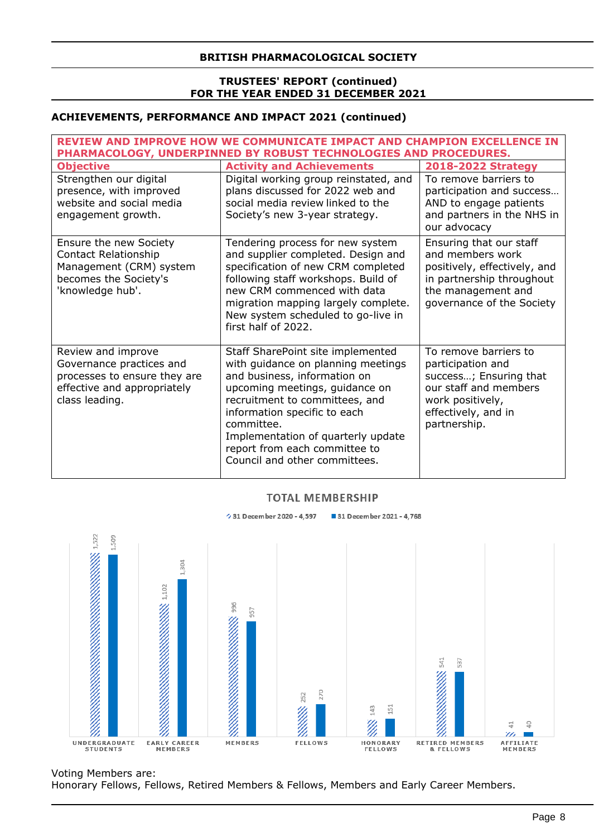## **TRUSTEES' REPORT (continued) FOR THE YEAR ENDED 31 DECEMBER 2021**

## **ACHIEVEMENTS, PERFORMANCE AND IMPACT 2021 (continued)**

| REVIEW AND IMPROVE HOW WE COMMUNICATE IMPACT AND CHAMPION EXCELLENCE IN<br>PHARMACOLOGY, UNDERPINNED BY ROBUST TECHNOLOGIES AND PROCEDURES. |                                                                                                                                                                                                                                                                                                                                   |                                                                                                                                                             |  |  |  |
|---------------------------------------------------------------------------------------------------------------------------------------------|-----------------------------------------------------------------------------------------------------------------------------------------------------------------------------------------------------------------------------------------------------------------------------------------------------------------------------------|-------------------------------------------------------------------------------------------------------------------------------------------------------------|--|--|--|
| <b>Objective</b>                                                                                                                            | <b>Activity and Achievements</b>                                                                                                                                                                                                                                                                                                  | 2018-2022 Strategy                                                                                                                                          |  |  |  |
| Strengthen our digital<br>presence, with improved<br>website and social media<br>engagement growth.                                         | Digital working group reinstated, and<br>plans discussed for 2022 web and<br>social media review linked to the<br>Society's new 3-year strategy.                                                                                                                                                                                  | To remove barriers to<br>participation and success<br>AND to engage patients<br>and partners in the NHS in<br>our advocacy                                  |  |  |  |
| Ensure the new Society<br>Contact Relationship<br>Management (CRM) system<br>becomes the Society's<br>'knowledge hub'.                      | Tendering process for new system<br>and supplier completed. Design and<br>specification of new CRM completed<br>following staff workshops. Build of<br>new CRM commenced with data<br>migration mapping largely complete.<br>New system scheduled to go-live in<br>first half of 2022.                                            | Ensuring that our staff<br>and members work<br>positively, effectively, and<br>in partnership throughout<br>the management and<br>governance of the Society |  |  |  |
| Review and improve<br>Governance practices and<br>processes to ensure they are<br>effective and appropriately<br>class leading.             | Staff SharePoint site implemented<br>with guidance on planning meetings<br>and business, information on<br>upcoming meetings, guidance on<br>recruitment to committees, and<br>information specific to each<br>committee.<br>Implementation of quarterly update<br>report from each committee to<br>Council and other committees. | To remove barriers to<br>participation and<br>success; Ensuring that<br>our staff and members<br>work positively,<br>effectively, and in<br>partnership.    |  |  |  |

## **TOTAL MEMBERSHIP**



## Voting Members are:

Honorary Fellows, Fellows, Retired Members & Fellows, Members and Early Career Members.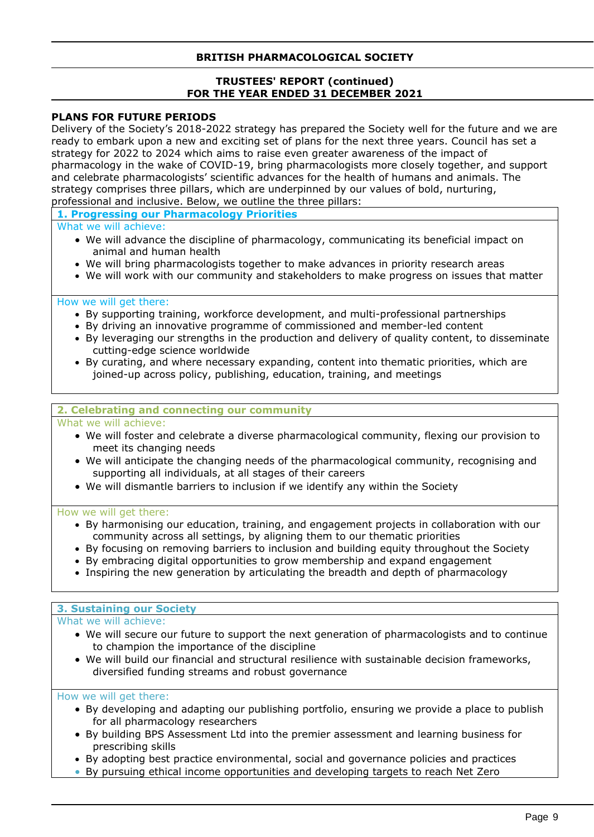## **TRUSTEES' REPORT (continued) FOR THE YEAR ENDED 31 DECEMBER 2021**

## **PLANS FOR FUTURE PERIODS**

Delivery of the Society's 2018-2022 strategy has prepared the Society well for the future and we are ready to embark upon a new and exciting set of plans for the next three years. Council has set a strategy for 2022 to 2024 which aims to raise even greater awareness of the impact of pharmacology in the wake of COVID-19, bring pharmacologists more closely together, and support and celebrate pharmacologists' scientific advances for the health of humans and animals. The strategy comprises three pillars, which are underpinned by our values of bold, nurturing, professional and inclusive. Below, we outline the three pillars:

**1. Progressing our Pharmacology Priorities**

What we will achieve:

- We will advance the discipline of pharmacology, communicating its beneficial impact on animal and human health
- We will bring pharmacologists together to make advances in priority research areas
- We will work with our community and stakeholders to make progress on issues that matter

### How we will get there:

- By supporting training, workforce development, and multi-professional partnerships
- By driving an innovative programme of commissioned and member-led content
- By leveraging our strengths in the production and delivery of quality content, to disseminate cutting-edge science worldwide
- By curating, and where necessary expanding, content into thematic priorities, which are joined-up across policy, publishing, education, training, and meetings

### **2. Celebrating and connecting our community**

What we will achieve:

- We will foster and celebrate a diverse pharmacological community, flexing our provision to meet its changing needs
- We will anticipate the changing needs of the pharmacological community, recognising and supporting all individuals, at all stages of their careers
- We will dismantle barriers to inclusion if we identify any within the Society

### How we will get there:

- By harmonising our education, training, and engagement projects in collaboration with our community across all settings, by aligning them to our thematic priorities
- By focusing on removing barriers to inclusion and building equity throughout the Society
- By embracing digital opportunities to grow membership and expand engagement
- Inspiring the new generation by articulating the breadth and depth of pharmacology

### **3. Sustaining our Society**

What we will achieve:

- We will secure our future to support the next generation of pharmacologists and to continue to champion the importance of the discipline
- We will build our financial and structural resilience with sustainable decision frameworks, diversified funding streams and robust governance

### How we will get there:

- By developing and adapting our publishing portfolio, ensuring we provide a place to publish for all pharmacology researchers
- By building BPS Assessment Ltd into the premier assessment and learning business for prescribing skills
- By adopting best practice environmental, social and governance policies and practices
- By pursuing ethical income opportunities and developing targets to reach Net Zero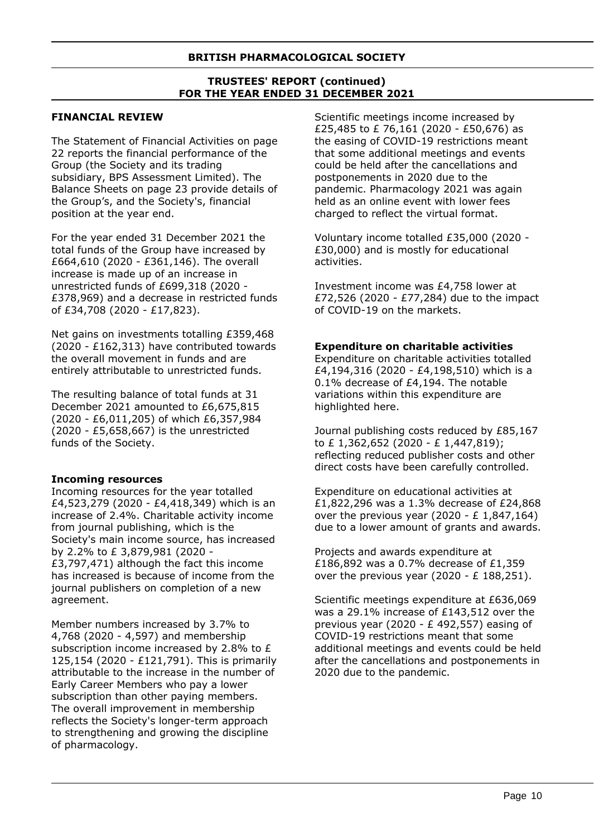## **FINANCIAL REVIEW**

The Statement of Financial Activities on page 22 reports the financial performance of the Group (the Society and its trading subsidiary, BPS Assessment Limited). The Balance Sheets on page 23 provide details of the Group's, and the Society's, financial position at the year end.

For the year ended 31 December 2021 the total funds of the Group have increased by £664,610 (2020 - £361,146). The overall increase is made up of an increase in unrestricted funds of £699,318 (2020 - £378,969) and a decrease in restricted funds of £34,708 (2020 - £17,823).

Net gains on investments totalling £359,468 (2020 - £162,313) have contributed towards the overall movement in funds and are entirely attributable to unrestricted funds.

The resulting balance of total funds at 31 December 2021 amounted to £6,675,815 (2020 - £6,011,205) of which £6,357,984 (2020 - £5,658,667) is the unrestricted funds of the Society.

### **Incoming resources**

Incoming resources for the year totalled £4,523,279 (2020 - £4,418,349) which is an increase of 2.4%. Charitable activity income from journal publishing, which is the Society's main income source, has increased by 2.2% to £ 3,879,981 (2020 - £3,797,471) although the fact this income has increased is because of income from the journal publishers on completion of a new agreement.

Member numbers increased by 3.7% to 4,768 (2020 - 4,597) and membership subscription income increased by 2.8% to £ 125,154 (2020 - £121,791). This is primarily attributable to the increase in the number of Early Career Members who pay a lower subscription than other paying members. The overall improvement in membership reflects the Society's longer-term approach to strengthening and growing the discipline of pharmacology.

Scientific meetings income increased by £25,485 to £ 76,161 (2020 - £50,676) as the easing of COVID-19 restrictions meant that some additional meetings and events could be held after the cancellations and postponements in 2020 due to the pandemic. Pharmacology 2021 was again held as an online event with lower fees charged to reflect the virtual format.

Voluntary income totalled £35,000 (2020 - £30,000) and is mostly for educational activities.

Investment income was £4,758 lower at £72,526 (2020 - £77,284) due to the impact of COVID-19 on the markets.

## **Expenditure on charitable activities**

Expenditure on charitable activities totalled £4,194,316 (2020 - £4,198,510) which is a 0.1% decrease of £4,194. The notable variations within this expenditure are highlighted here.

Journal publishing costs reduced by £85,167 to £ 1,362,652 (2020 - £ 1,447,819); reflecting reduced publisher costs and other direct costs have been carefully controlled.

Expenditure on educational activities at £1,822,296 was a 1.3% decrease of £24,868 over the previous year  $(2020 - \text{£ } 1,847,164)$ due to a lower amount of grants and awards.

Projects and awards expenditure at £186,892 was a 0.7% decrease of £1,359 over the previous year (2020 -  $E$  188,251).

Scientific meetings expenditure at £636,069 was a 29.1% increase of £143,512 over the previous year (2020 - £ 492,557) easing of COVID-19 restrictions meant that some additional meetings and events could be held after the cancellations and postponements in 2020 due to the pandemic.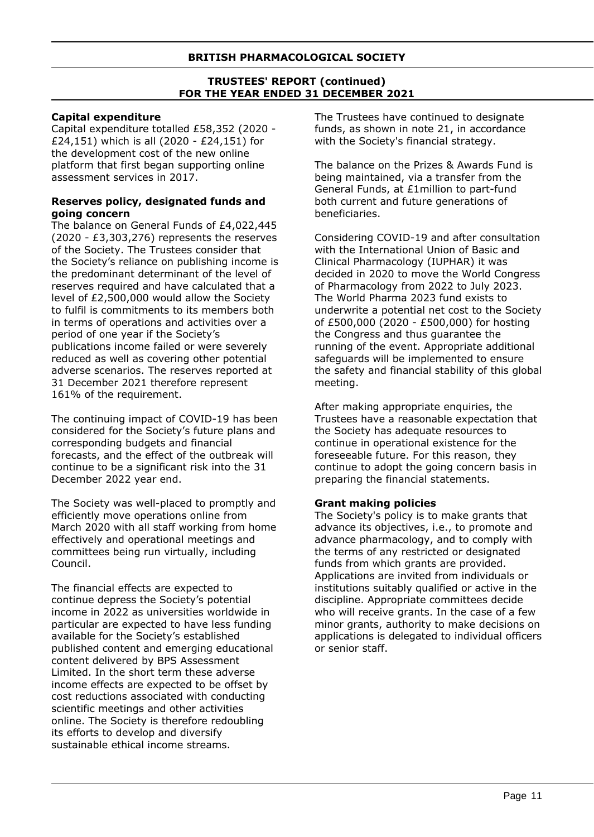## **TRUSTEES' REPORT (continued) FOR THE YEAR ENDED 31 DECEMBER 2021**

## **Capital expenditure**

Capital expenditure totalled £58,352 (2020 - £24,151) which is all (2020 - £24,151) for the development cost of the new online platform that first began supporting online assessment services in 2017.

## **Reserves policy, designated funds and going concern**

The balance on General Funds of £4,022,445 (2020 - £3,303,276) represents the reserves of the Society. The Trustees consider that the Society's reliance on publishing income is the predominant determinant of the level of reserves required and have calculated that a level of £2,500,000 would allow the Society to fulfil is commitments to its members both in terms of operations and activities over a period of one year if the Society's publications income failed or were severely reduced as well as covering other potential adverse scenarios. The reserves reported at 31 December 2021 therefore represent 161% of the requirement.

The continuing impact of COVID-19 has been considered for the Society's future plans and corresponding budgets and financial forecasts, and the effect of the outbreak will continue to be a significant risk into the 31 December 2022 year end.

The Society was well-placed to promptly and efficiently move operations online from March 2020 with all staff working from home effectively and operational meetings and committees being run virtually, including Council.

The financial effects are expected to continue depress the Society's potential income in 2022 as universities worldwide in particular are expected to have less funding available for the Society's established published content and emerging educational content delivered by BPS Assessment Limited. In the short term these adverse income effects are expected to be offset by cost reductions associated with conducting scientific meetings and other activities online. The Society is therefore redoubling its efforts to develop and diversify sustainable ethical income streams.

The Trustees have continued to designate funds, as shown in note 21, in accordance with the Society's financial strategy.

The balance on the Prizes & Awards Fund is being maintained, via a transfer from the General Funds, at £1million to part-fund both current and future generations of beneficiaries.

Considering COVID-19 and after consultation with the International Union of Basic and Clinical Pharmacology (IUPHAR) it was decided in 2020 to move the World Congress of Pharmacology from 2022 to July 2023. The World Pharma 2023 fund exists to underwrite a potential net cost to the Society of £500,000 (2020 - £500,000) for hosting the Congress and thus guarantee the running of the event. Appropriate additional safeguards will be implemented to ensure the safety and financial stability of this global meeting.

After making appropriate enquiries, the Trustees have a reasonable expectation that the Society has adequate resources to continue in operational existence for the foreseeable future. For this reason, they continue to adopt the going concern basis in preparing the financial statements.

## **Grant making policies**

The Society's policy is to make grants that advance its objectives, i.e., to promote and advance pharmacology, and to comply with the terms of any restricted or designated funds from which grants are provided. Applications are invited from individuals or institutions suitably qualified or active in the discipline. Appropriate committees decide who will receive grants. In the case of a few minor grants, authority to make decisions on applications is delegated to individual officers or senior staff.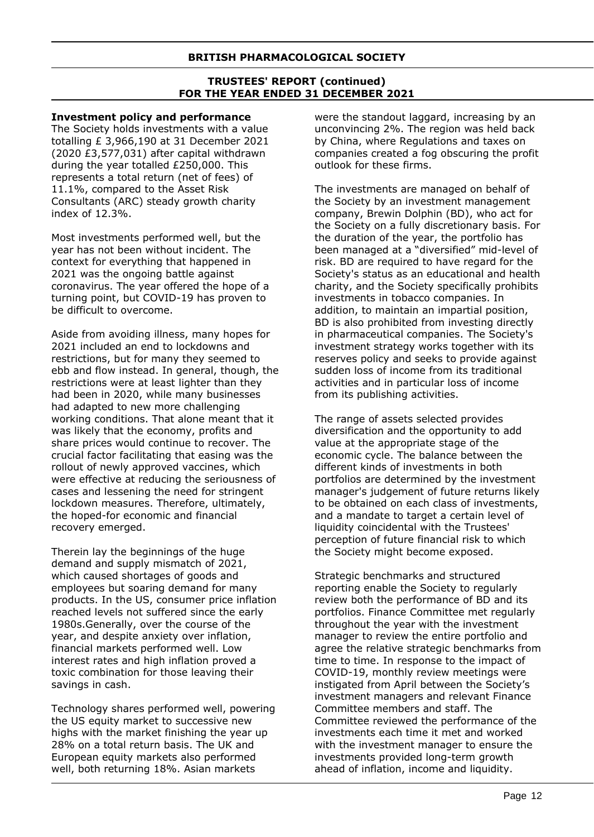## **Investment policy and performance**

The Society holds investments with a value totalling £ 3,966,190 at 31 December 2021 (2020 £3,577,031) after capital withdrawn during the year totalled £250,000. This represents a total return (net of fees) of 11.1%, compared to the Asset Risk Consultants (ARC) steady growth charity index of 12.3%.

Most investments performed well, but the year has not been without incident. The context for everything that happened in 2021 was the ongoing battle against coronavirus. The year offered the hope of a turning point, but COVID-19 has proven to be difficult to overcome.

Aside from avoiding illness, many hopes for 2021 included an end to lockdowns and restrictions, but for many they seemed to ebb and flow instead. In general, though, the restrictions were at least lighter than they had been in 2020, while many businesses had adapted to new more challenging working conditions. That alone meant that it was likely that the economy, profits and share prices would continue to recover. The crucial factor facilitating that easing was the rollout of newly approved vaccines, which were effective at reducing the seriousness of cases and lessening the need for stringent lockdown measures. Therefore, ultimately, the hoped-for economic and financial recovery emerged.

Therein lay the beginnings of the huge demand and supply mismatch of 2021, which caused shortages of goods and employees but soaring demand for many products. In the US, consumer price inflation reached levels not suffered since the early 1980s.Generally, over the course of the year, and despite anxiety over inflation, financial markets performed well. Low interest rates and high inflation proved a toxic combination for those leaving their savings in cash.

Technology shares performed well, powering the US equity market to successive new highs with the market finishing the year up 28% on a total return basis. The UK and European equity markets also performed well, both returning 18%. Asian markets

were the standout laggard, increasing by an unconvincing 2%. The region was held back by China, where Regulations and taxes on companies created a fog obscuring the profit outlook for these firms.

The investments are managed on behalf of the Society by an investment management company, Brewin Dolphin (BD), who act for the Society on a fully discretionary basis. For the duration of the year, the portfolio has been managed at a "diversified" mid-level of risk. BD are required to have regard for the Society's status as an educational and health charity, and the Society specifically prohibits investments in tobacco companies. In addition, to maintain an impartial position, BD is also prohibited from investing directly in pharmaceutical companies. The Society's investment strategy works together with its reserves policy and seeks to provide against sudden loss of income from its traditional activities and in particular loss of income from its publishing activities.

The range of assets selected provides diversification and the opportunity to add value at the appropriate stage of the economic cycle. The balance between the different kinds of investments in both portfolios are determined by the investment manager's judgement of future returns likely to be obtained on each class of investments, and a mandate to target a certain level of liquidity coincidental with the Trustees' perception of future financial risk to which the Society might become exposed.

Strategic benchmarks and structured reporting enable the Society to regularly review both the performance of BD and its portfolios. Finance Committee met regularly throughout the year with the investment manager to review the entire portfolio and agree the relative strategic benchmarks from time to time. In response to the impact of COVID-19, monthly review meetings were instigated from April between the Society's investment managers and relevant Finance Committee members and staff. The Committee reviewed the performance of the investments each time it met and worked with the investment manager to ensure the investments provided long-term growth ahead of inflation, income and liquidity.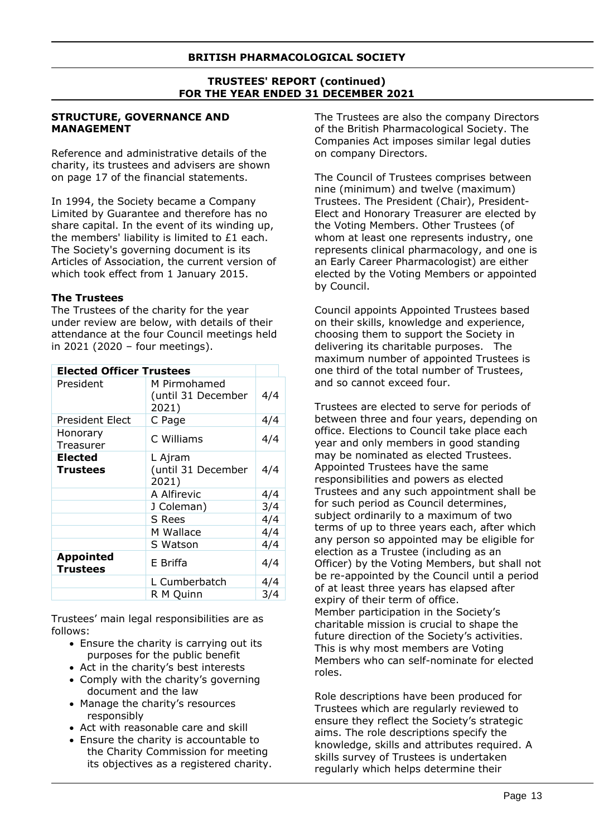## **STRUCTURE, GOVERNANCE AND MANAGEMENT**

Reference and administrative details of the charity, its trustees and advisers are shown on page 17 of the financial statements.

In 1994, the Society became a Company Limited by Guarantee and therefore has no share capital. In the event of its winding up, the members' liability is limited to £1 each. The Society's governing document is its Articles of Association, the current version of which took effect from 1 January 2015.

## **The Trustees**

The Trustees of the charity for the year under review are below, with details of their attendance at the four Council meetings held in 2021 (2020 – four meetings).

| <b>Elected Officer Trustees</b>     |                                             |     |  |  |
|-------------------------------------|---------------------------------------------|-----|--|--|
| President                           | M Pirmohamed<br>(until 31 December<br>2021) | 4/4 |  |  |
| President Elect                     | C Page                                      | 4/4 |  |  |
| Honorary<br>Treasurer               | C Williams                                  | 4/4 |  |  |
| Elected<br><b>Trustees</b>          | L Ajram<br>(until 31 December<br>2021)      | 4/4 |  |  |
|                                     | A Alfirevic                                 | 4/4 |  |  |
|                                     | J Coleman)                                  | 3/4 |  |  |
|                                     | S Rees                                      | 4/4 |  |  |
|                                     | M Wallace                                   | 4/4 |  |  |
|                                     | S Watson                                    | 4/4 |  |  |
| <b>Appointed</b><br><b>Trustees</b> | E Briffa                                    | 4/4 |  |  |
|                                     | L Cumberbatch                               | 4/4 |  |  |
|                                     | R M Quinn                                   | 3/4 |  |  |

Trustees' main legal responsibilities are as follows:

- Ensure the charity is carrying out its purposes for the public benefit
- Act in the charity's best interests
- Comply with the charity's governing document and the law
- Manage the charity's resources responsibly
- Act with reasonable care and skill
- Ensure the charity is accountable to the Charity Commission for meeting its objectives as a registered charity.

The Trustees are also the company Directors of the British Pharmacological Society. The Companies Act imposes similar legal duties on company Directors.

The Council of Trustees comprises between nine (minimum) and twelve (maximum) Trustees. The President (Chair), President-Elect and Honorary Treasurer are elected by the Voting Members. Other Trustees (of whom at least one represents industry, one represents clinical pharmacology, and one is an Early Career Pharmacologist) are either elected by the Voting Members or appointed by Council.

Council appoints Appointed Trustees based on their skills, knowledge and experience, choosing them to support the Society in delivering its charitable purposes. The maximum number of appointed Trustees is one third of the total number of Trustees, and so cannot exceed four.

Trustees are elected to serve for periods of between three and four years, depending on office. Elections to Council take place each year and only members in good standing may be nominated as elected Trustees. Appointed Trustees have the same responsibilities and powers as elected Trustees and any such appointment shall be for such period as Council determines, subject ordinarily to a maximum of two terms of up to three years each, after which any person so appointed may be eligible for election as a Trustee (including as an Officer) by the Voting Members, but shall not be re-appointed by the Council until a period of at least three years has elapsed after expiry of their term of office. Member participation in the Society's charitable mission is crucial to shape the future direction of the Society's activities. This is why most members are Voting Members who can self-nominate for elected roles.

Role descriptions have been produced for Trustees which are regularly reviewed to ensure they reflect the Society's strategic aims. The role descriptions specify the knowledge, skills and attributes required. A skills survey of Trustees is undertaken regularly which helps determine their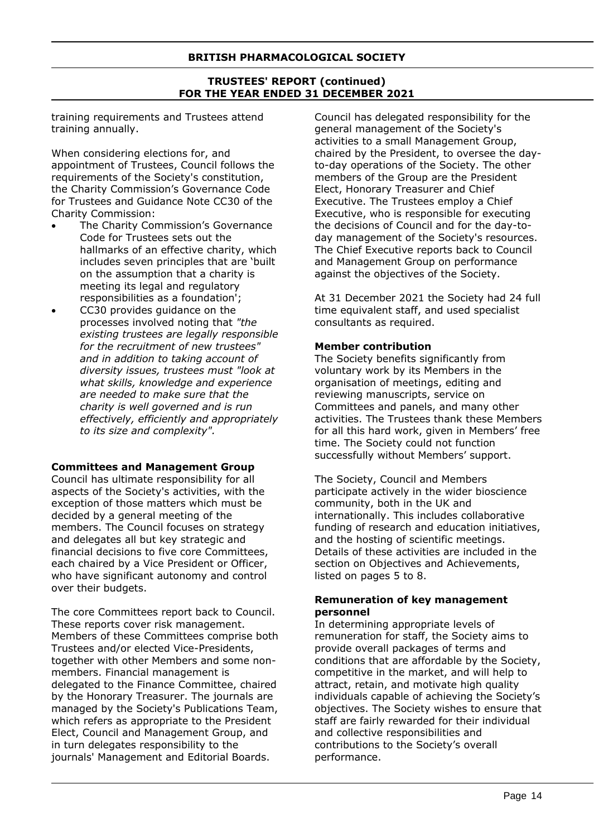training requirements and Trustees attend training annually.

When considering elections for, and appointment of Trustees, Council follows the requirements of the Society's constitution, the Charity Commission's Governance Code for Trustees and Guidance Note CC30 of the Charity Commission:

- The Charity Commission's Governance Code for Trustees sets out the hallmarks of an effective charity, which includes seven principles that are 'built on the assumption that a charity is meeting its legal and regulatory responsibilities as a foundation';
- CC30 provides guidance on the processes involved noting that *"the existing trustees are legally responsible for the recruitment of new trustees" and in addition to taking account of diversity issues, trustees must "look at what skills, knowledge and experience are needed to make sure that the charity is well governed and is run effectively, efficiently and appropriately to its size and complexity".*

## **Committees and Management Group**

Council has ultimate responsibility for all aspects of the Society's activities, with the exception of those matters which must be decided by a general meeting of the members. The Council focuses on strategy and delegates all but key strategic and financial decisions to five core Committees, each chaired by a Vice President or Officer, who have significant autonomy and control over their budgets.

The core Committees report back to Council. These reports cover risk management. Members of these Committees comprise both Trustees and/or elected Vice-Presidents, together with other Members and some nonmembers. Financial management is delegated to the Finance Committee, chaired by the Honorary Treasurer. The journals are managed by the Society's Publications Team, which refers as appropriate to the President Elect, Council and Management Group, and in turn delegates responsibility to the journals' Management and Editorial Boards.

Council has delegated responsibility for the general management of the Society's activities to a small Management Group, chaired by the President, to oversee the dayto-day operations of the Society. The other members of the Group are the President Elect, Honorary Treasurer and Chief Executive. The Trustees employ a Chief Executive, who is responsible for executing the decisions of Council and for the day-today management of the Society's resources. The Chief Executive reports back to Council and Management Group on performance against the objectives of the Society.

At 31 December 2021 the Society had 24 full time equivalent staff, and used specialist consultants as required.

## **Member contribution**

The Society benefits significantly from voluntary work by its Members in the organisation of meetings, editing and reviewing manuscripts, service on Committees and panels, and many other activities. The Trustees thank these Members for all this hard work, given in Members' free time. The Society could not function successfully without Members' support.

The Society, Council and Members participate actively in the wider bioscience community, both in the UK and internationally. This includes collaborative funding of research and education initiatives, and the hosting of scientific meetings. Details of these activities are included in the section on Objectives and Achievements, listed on pages 5 to 8.

### **Remuneration of key management personnel**

In determining appropriate levels of remuneration for staff, the Society aims to provide overall packages of terms and conditions that are affordable by the Society, competitive in the market, and will help to attract, retain, and motivate high quality individuals capable of achieving the Society's objectives. The Society wishes to ensure that staff are fairly rewarded for their individual and collective responsibilities and contributions to the Society's overall performance.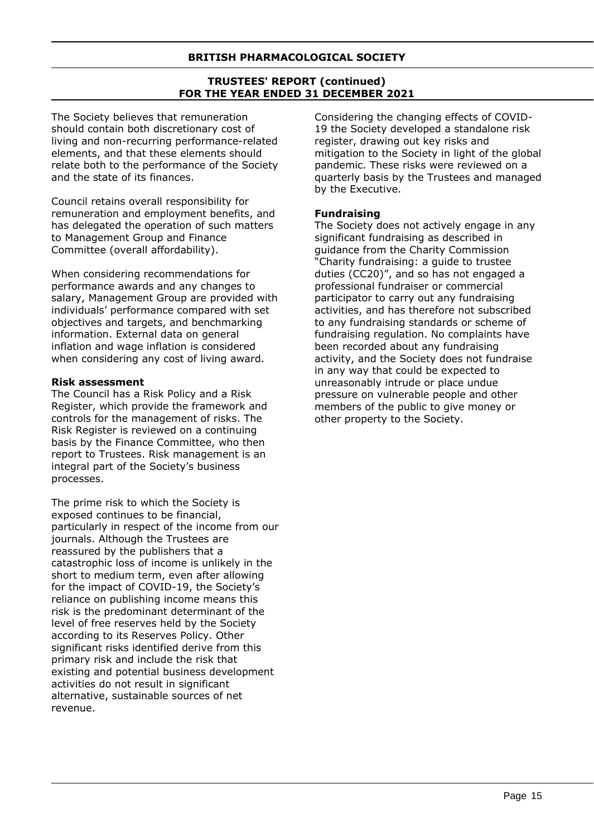The Society believes that remuneration should contain both discretionary cost of living and non-recurring performance-related elements, and that these elements should relate both to the performance of the Society and the state of its finances.

Council retains overall responsibility for remuneration and employment benefits, and has delegated the operation of such matters to Management Group and Finance Committee (overall affordability).

When considering recommendations for performance awards and any changes to salary, Management Group are provided with individuals' performance compared with set objectives and targets, and benchmarking information. External data on general inflation and wage inflation is considered when considering any cost of living award.

## **Risk assessment**

The Council has a Risk Policy and a Risk Register, which provide the framework and controls for the management of risks. The Risk Register is reviewed on a continuing basis by the Finance Committee, who then report to Trustees. Risk management is an integral part of the Society's business processes.

The prime risk to which the Society is exposed continues to be financial, particularly in respect of the income from our journals. Although the Trustees are reassured by the publishers that a catastrophic loss of income is unlikely in the short to medium term, even after allowing for the impact of COVID-19, the Society's reliance on publishing income means this risk is the predominant determinant of the level of free reserves held by the Society according to its Reserves Policy. Other significant risks identified derive from this primary risk and include the risk that existing and potential business development activities do not result in significant alternative, sustainable sources of net revenue.

Considering the changing effects of COVID-19 the Society developed a standalone risk register, drawing out key risks and mitigation to the Society in light of the global pandemic. These risks were reviewed on a quarterly basis by the Trustees and managed by the Executive.

# **Fundraising**

The Society does not actively engage in any significant fundraising as described in guidance from the Charity Commission "Charity fundraising: a guide to trustee duties (CC20)", and so has not engaged a professional fundraiser or commercial participator to carry out any fundraising activities, and has therefore not subscribed to any fundraising standards or scheme of fundraising regulation. No complaints have been recorded about any fundraising activity, and the Society does not fundraise in any way that could be expected to unreasonably intrude or place undue pressure on vulnerable people and other members of the public to give money or other property to the Society.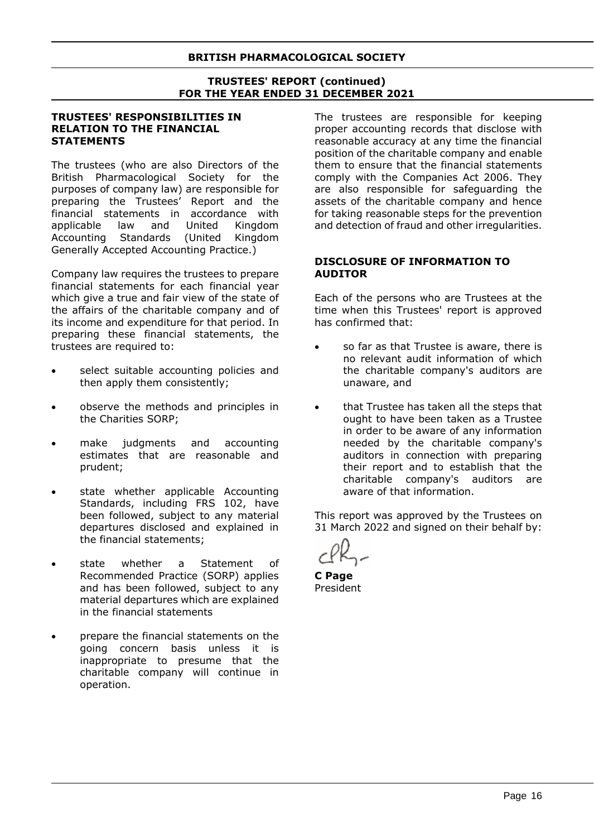### **TRUSTEES' RESPONSIBILITIES IN RELATION TO THE FINANCIAL STATEMENTS**

The trustees (who are also Directors of the British Pharmacological Society for the purposes of company law) are responsible for preparing the Trustees' Report and the financial statements in accordance with applicable law and United Kingdom Accounting Standards (United Kingdom Generally Accepted Accounting Practice.)

Company law requires the trustees to prepare financial statements for each financial year which give a true and fair view of the state of the affairs of the charitable company and of its income and expenditure for that period. In preparing these financial statements, the trustees are required to:

- select suitable accounting policies and then apply them consistently;
- observe the methods and principles in the Charities SORP;
- make judgments and accounting estimates that are reasonable and prudent;
- state whether applicable Accounting Standards, including FRS 102, have been followed, subject to any material departures disclosed and explained in the financial statements;
- state whether a Statement of Recommended Practice (SORP) applies and has been followed, subject to any material departures which are explained in the financial statements
- prepare the financial statements on the going concern basis unless it is inappropriate to presume that the charitable company will continue in operation.

The trustees are responsible for keeping proper accounting records that disclose with reasonable accuracy at any time the financial position of the charitable company and enable them to ensure that the financial statements comply with the Companies Act 2006. They are also responsible for safeguarding the assets of the charitable company and hence for taking reasonable steps for the prevention and detection of fraud and other irregularities.

## **DISCLOSURE OF INFORMATION TO AUDITOR**

Each of the persons who are Trustees at the time when this Trustees' report is approved has confirmed that:

- so far as that Trustee is aware, there is no relevant audit information of which the charitable company's auditors are unaware, and
- that Trustee has taken all the steps that ought to have been taken as a Trustee in order to be aware of any information needed by the charitable company's auditors in connection with preparing their report and to establish that the charitable company's auditors are aware of that information.

This report was approved by the Trustees on 31 March 2022 and signed on their behalf by:

**C Page** President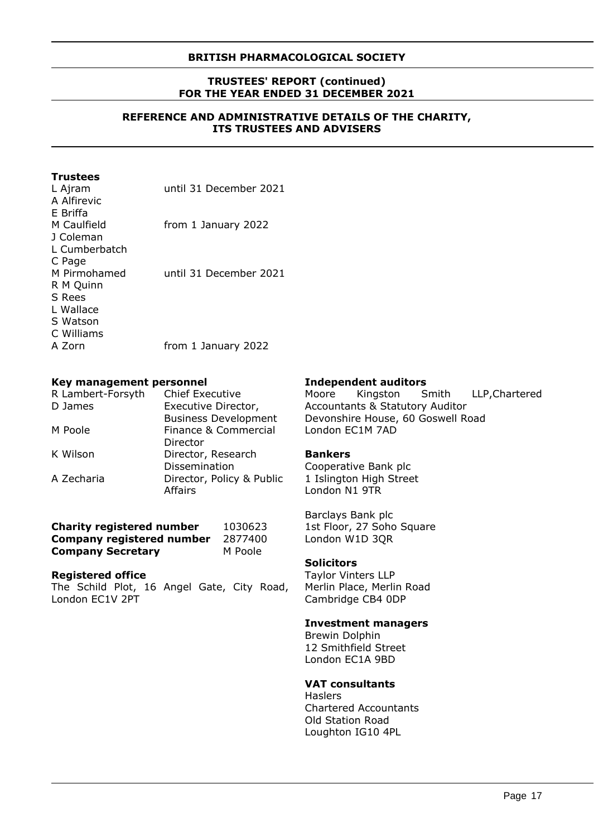## **TRUSTEES' REPORT (continued) FOR THE YEAR ENDED 31 DECEMBER 2021**

## **REFERENCE AND ADMINISTRATIVE DETAILS OF THE CHARITY, ITS TRUSTEES AND ADVISERS**

## **Trustees**

| L Ajram       | until 31 December 2021 |
|---------------|------------------------|
| A Alfirevic   |                        |
| E Briffa      |                        |
| M Caulfield   | from 1 January 2022    |
| J Coleman     |                        |
| L Cumberbatch |                        |
| C Page        |                        |
| M Pirmohamed  | until 31 December 2021 |
| R M Quinn     |                        |
| S Rees        |                        |
| L Wallace     |                        |
| S Watson      |                        |
| C Williams    |                        |
| A Zorn        | from 1 January 2022    |

### **Key management personnel**

| R Lambert-Forsyth | <b>Chief Executive</b>      |
|-------------------|-----------------------------|
| D James           | Executive Director,         |
|                   | <b>Business Development</b> |
| M Poole           | Finance & Commercial        |
|                   | Director                    |
| K Wilson          | Director, Research          |
|                   | Dissemination               |
| A Zecharia        | Director, Policy & Public   |
|                   | <b>Affairs</b>              |
|                   |                             |

| <b>Charity registered number</b> | 1030623 |
|----------------------------------|---------|
| <b>Company registered number</b> | 2877400 |
| <b>Company Secretary</b>         | M Poole |

### **Registered office**

The Schild Plot, 16 Angel Gate, City Road, London EC1V 2PT

### **Independent auditors**

Moore Kingston Smith LLP,Chartered Accountants & Statutory Auditor Devonshire House, 60 Goswell Road London EC1M 7AD

### **Bankers**

Cooperative Bank plc 1 Islington High Street London N1 9TR

Barclays Bank plc 1st Floor, 27 Soho Square London W1D 3QR

### **Solicitors**

Taylor Vinters LLP Merlin Place, Merlin Road Cambridge CB4 0DP

### **Investment managers**

Brewin Dolphin 12 Smithfield Street London EC1A 9BD

### **VAT consultants**

Haslers Chartered Accountants Old Station Road Loughton IG10 4PL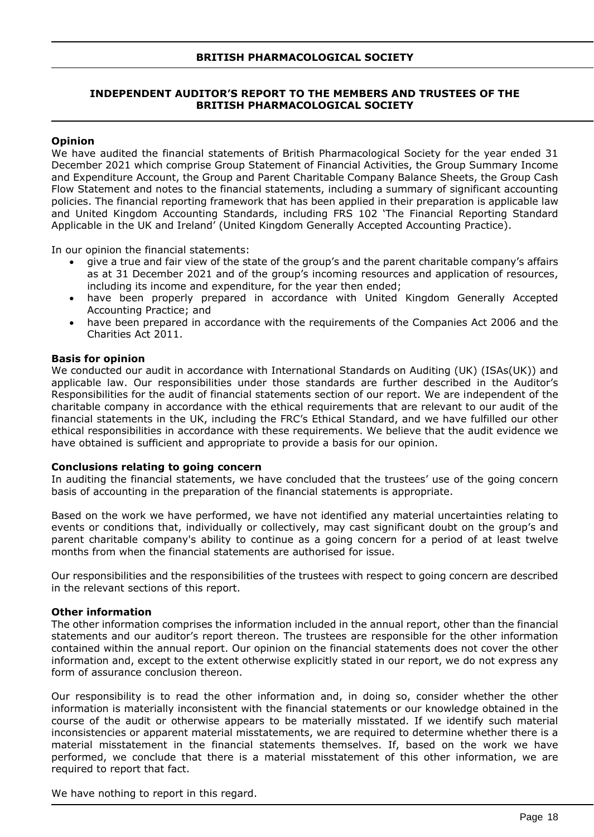## **INDEPENDENT AUDITOR'S REPORT TO THE MEMBERS AND TRUSTEES OF THE BRITISH PHARMACOLOGICAL SOCIETY**

## **Opinion**

We have audited the financial statements of British Pharmacological Society for the year ended 31 December 2021 which comprise Group Statement of Financial Activities, the Group Summary Income and Expenditure Account, the Group and Parent Charitable Company Balance Sheets, the Group Cash Flow Statement and notes to the financial statements, including a summary of significant accounting policies. The financial reporting framework that has been applied in their preparation is applicable law and United Kingdom Accounting Standards, including FRS 102 'The Financial Reporting Standard Applicable in the UK and Ireland' (United Kingdom Generally Accepted Accounting Practice).

In our opinion the financial statements:

- give a true and fair view of the state of the group's and the parent charitable company's affairs as at 31 December 2021 and of the group's incoming resources and application of resources, including its income and expenditure, for the year then ended;
- have been properly prepared in accordance with United Kingdom Generally Accepted Accounting Practice; and
- have been prepared in accordance with the requirements of the Companies Act 2006 and the Charities Act 2011.

### **Basis for opinion**

We conducted our audit in accordance with International Standards on Auditing (UK) (ISAs(UK)) and applicable law. Our responsibilities under those standards are further described in the Auditor's Responsibilities for the audit of financial statements section of our report. We are independent of the charitable company in accordance with the ethical requirements that are relevant to our audit of the financial statements in the UK, including the FRC's Ethical Standard, and we have fulfilled our other ethical responsibilities in accordance with these requirements. We believe that the audit evidence we have obtained is sufficient and appropriate to provide a basis for our opinion.

### **Conclusions relating to going concern**

In auditing the financial statements, we have concluded that the trustees' use of the going concern basis of accounting in the preparation of the financial statements is appropriate.

Based on the work we have performed, we have not identified any material uncertainties relating to events or conditions that, individually or collectively, may cast significant doubt on the group's and parent charitable company's ability to continue as a going concern for a period of at least twelve months from when the financial statements are authorised for issue.

Our responsibilities and the responsibilities of the trustees with respect to going concern are described in the relevant sections of this report.

### **Other information**

The other information comprises the information included in the annual report, other than the financial statements and our auditor's report thereon. The trustees are responsible for the other information contained within the annual report. Our opinion on the financial statements does not cover the other information and, except to the extent otherwise explicitly stated in our report, we do not express any form of assurance conclusion thereon.

Our responsibility is to read the other information and, in doing so, consider whether the other information is materially inconsistent with the financial statements or our knowledge obtained in the course of the audit or otherwise appears to be materially misstated. If we identify such material inconsistencies or apparent material misstatements, we are required to determine whether there is a material misstatement in the financial statements themselves. If, based on the work we have performed, we conclude that there is a material misstatement of this other information, we are required to report that fact.

We have nothing to report in this regard.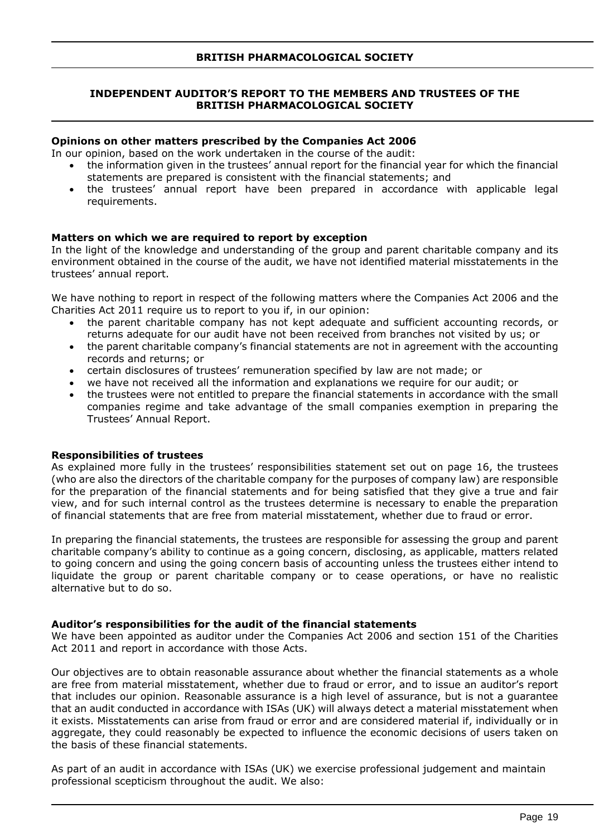## **INDEPENDENT AUDITOR'S REPORT TO THE MEMBERS AND TRUSTEES OF THE BRITISH PHARMACOLOGICAL SOCIETY**

### **Opinions on other matters prescribed by the Companies Act 2006**

In our opinion, based on the work undertaken in the course of the audit:

- the information given in the trustees' annual report for the financial year for which the financial statements are prepared is consistent with the financial statements; and
- the trustees' annual report have been prepared in accordance with applicable legal requirements.

### **Matters on which we are required to report by exception**

In the light of the knowledge and understanding of the group and parent charitable company and its environment obtained in the course of the audit, we have not identified material misstatements in the trustees' annual report.

We have nothing to report in respect of the following matters where the Companies Act 2006 and the Charities Act 2011 require us to report to you if, in our opinion:

- the parent charitable company has not kept adequate and sufficient accounting records, or returns adequate for our audit have not been received from branches not visited by us; or
- the parent charitable company's financial statements are not in agreement with the accounting records and returns; or
- certain disclosures of trustees' remuneration specified by law are not made; or
- we have not received all the information and explanations we require for our audit; or
- the trustees were not entitled to prepare the financial statements in accordance with the small companies regime and take advantage of the small companies exemption in preparing the Trustees' Annual Report.

### **Responsibilities of trustees**

As explained more fully in the trustees' responsibilities statement set out on page 16, the trustees (who are also the directors of the charitable company for the purposes of company law) are responsible for the preparation of the financial statements and for being satisfied that they give a true and fair view, and for such internal control as the trustees determine is necessary to enable the preparation of financial statements that are free from material misstatement, whether due to fraud or error.

In preparing the financial statements, the trustees are responsible for assessing the group and parent charitable company's ability to continue as a going concern, disclosing, as applicable, matters related to going concern and using the going concern basis of accounting unless the trustees either intend to liquidate the group or parent charitable company or to cease operations, or have no realistic alternative but to do so.

### **Auditor's responsibilities for the audit of the financial statements**

We have been appointed as auditor under the Companies Act 2006 and section 151 of the Charities Act 2011 and report in accordance with those Acts.

Our objectives are to obtain reasonable assurance about whether the financial statements as a whole are free from material misstatement, whether due to fraud or error, and to issue an auditor's report that includes our opinion. Reasonable assurance is a high level of assurance, but is not a guarantee that an audit conducted in accordance with ISAs (UK) will always detect a material misstatement when it exists. Misstatements can arise from fraud or error and are considered material if, individually or in aggregate, they could reasonably be expected to influence the economic decisions of users taken on the basis of these financial statements.

As part of an audit in accordance with ISAs (UK) we exercise professional judgement and maintain professional scepticism throughout the audit. We also: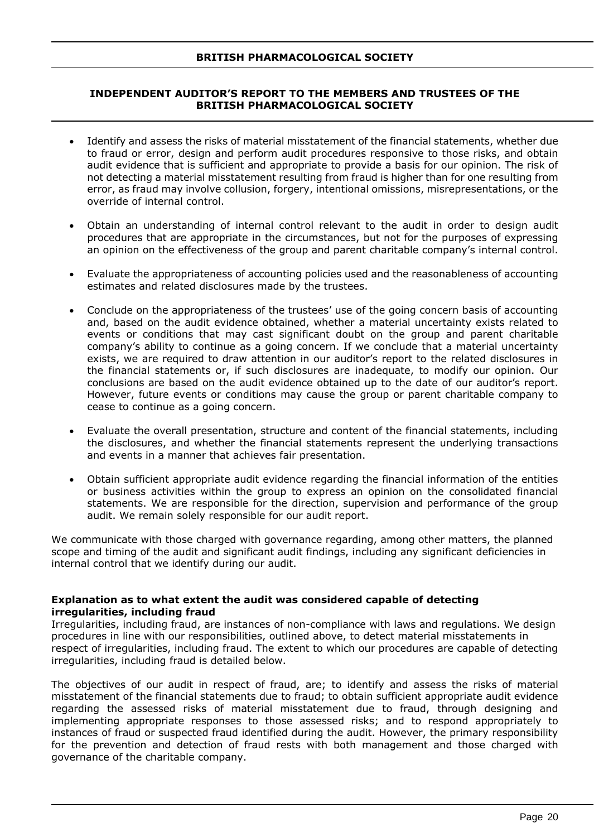## **INDEPENDENT AUDITOR'S REPORT TO THE MEMBERS AND TRUSTEES OF THE BRITISH PHARMACOLOGICAL SOCIETY**

- Identify and assess the risks of material misstatement of the financial statements, whether due to fraud or error, design and perform audit procedures responsive to those risks, and obtain audit evidence that is sufficient and appropriate to provide a basis for our opinion. The risk of not detecting a material misstatement resulting from fraud is higher than for one resulting from error, as fraud may involve collusion, forgery, intentional omissions, misrepresentations, or the override of internal control.
- Obtain an understanding of internal control relevant to the audit in order to design audit procedures that are appropriate in the circumstances, but not for the purposes of expressing an opinion on the effectiveness of the group and parent charitable company's internal control.
- Evaluate the appropriateness of accounting policies used and the reasonableness of accounting estimates and related disclosures made by the trustees.
- Conclude on the appropriateness of the trustees' use of the going concern basis of accounting and, based on the audit evidence obtained, whether a material uncertainty exists related to events or conditions that may cast significant doubt on the group and parent charitable company's ability to continue as a going concern. If we conclude that a material uncertainty exists, we are required to draw attention in our auditor's report to the related disclosures in the financial statements or, if such disclosures are inadequate, to modify our opinion. Our conclusions are based on the audit evidence obtained up to the date of our auditor's report. However, future events or conditions may cause the group or parent charitable company to cease to continue as a going concern.
- Evaluate the overall presentation, structure and content of the financial statements, including the disclosures, and whether the financial statements represent the underlying transactions and events in a manner that achieves fair presentation.
- Obtain sufficient appropriate audit evidence regarding the financial information of the entities or business activities within the group to express an opinion on the consolidated financial statements. We are responsible for the direction, supervision and performance of the group audit. We remain solely responsible for our audit report.

We communicate with those charged with governance regarding, among other matters, the planned scope and timing of the audit and significant audit findings, including any significant deficiencies in internal control that we identify during our audit.

### **Explanation as to what extent the audit was considered capable of detecting irregularities, including fraud**

Irregularities, including fraud, are instances of non-compliance with laws and regulations. We design procedures in line with our responsibilities, outlined above, to detect material misstatements in respect of irregularities, including fraud. The extent to which our procedures are capable of detecting irregularities, including fraud is detailed below.

The objectives of our audit in respect of fraud, are; to identify and assess the risks of material misstatement of the financial statements due to fraud; to obtain sufficient appropriate audit evidence regarding the assessed risks of material misstatement due to fraud, through designing and implementing appropriate responses to those assessed risks; and to respond appropriately to instances of fraud or suspected fraud identified during the audit. However, the primary responsibility for the prevention and detection of fraud rests with both management and those charged with governance of the charitable company.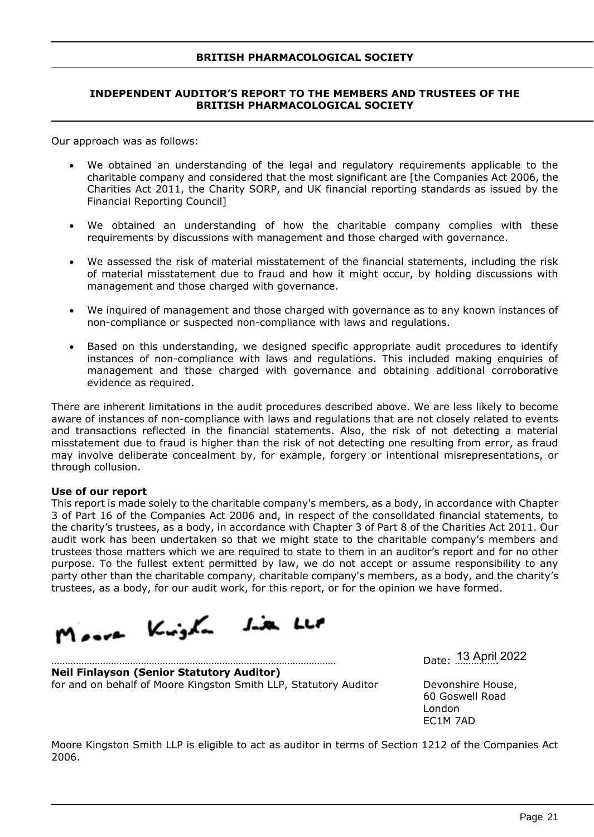## **INDEPENDENT AUDITOR'S REPORT TO THE MEMBERS AND TRUSTEES OF THE BRITISH PHARMACOLOGICAL SOCIETY**

Our approach was as follows:

- We obtained an understanding of the legal and regulatory requirements applicable to the charitable company and considered that the most significant are [the Companies Act 2006, the Charities Act 2011, the Charity SORP, and UK financial reporting standards as issued by the Financial Reporting Council]
- We obtained an understanding of how the charitable company complies with these requirements by discussions with management and those charged with governance.
- We assessed the risk of material misstatement of the financial statements, including the risk of material misstatement due to fraud and how it might occur, by holding discussions with management and those charged with governance.
- We inquired of management and those charged with governance as to any known instances of non-compliance or suspected non-compliance with laws and regulations.
- Based on this understanding, we designed specific appropriate audit procedures to identify instances of non-compliance with laws and regulations. This included making enquiries of management and those charged with governance and obtaining additional corroborative evidence as required.

There are inherent limitations in the audit procedures described above. We are less likely to become aware of instances of non-compliance with laws and regulations that are not closely related to events and transactions reflected in the financial statements. Also, the risk of not detecting a material misstatement due to fraud is higher than the risk of not detecting one resulting from error, as fraud may involve deliberate concealment by, for example, forgery or intentional misrepresentations, or through collusion.

### **Use of our report**

This report is made solely to the charitable company's members, as a body, in accordance with Chapter 3 of Part 16 of the Companies Act 2006 and, in respect of the consolidated financial statements, to the charity's trustees, as a body, in accordance with Chapter 3 of Part 8 of the Charities Act 2011. Our audit work has been undertaken so that we might state to the charitable company's members and trustees those matters which we are required to state to them in an auditor's report and for no other purpose. To the fullest extent permitted by law, we do not accept or assume responsibility to any party other than the charitable company, charitable company's members, as a body, and the charity's trustees, as a body, for our audit work, for this report, or for the opinion we have formed.

Moure Kingha die Ler

**Neil Finlayson (Senior Statutory Auditor)** for and on behalf of Moore Kingston Smith LLP, Statutory Auditor **Devonshire House**,

…………………………………………………………………………………………… Date: ……………. 13 April 2022

60 Goswell Road London EC1M 7AD

Moore Kingston Smith LLP is eligible to act as auditor in terms of Section 1212 of the Companies Act 2006.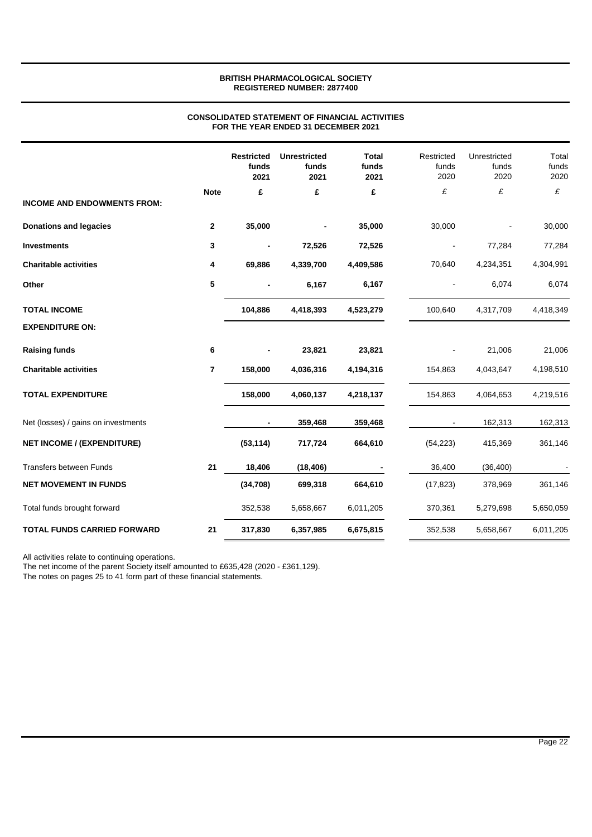### **CONSOLIDATED STATEMENT OF FINANCIAL ACTIVITIES FOR THE YEAR ENDED 31 DECEMBER 2021**

|                                     |                | <b>Restricted</b><br>funds<br>2021 | <b>Unrestricted</b><br>funds<br>2021 | <b>Total</b><br>funds<br>2021 | Restricted<br>funds<br>2020 | Unrestricted<br>funds<br>2020 | Total<br>funds<br>2020 |
|-------------------------------------|----------------|------------------------------------|--------------------------------------|-------------------------------|-----------------------------|-------------------------------|------------------------|
| <b>INCOME AND ENDOWMENTS FROM:</b>  | <b>Note</b>    | £                                  | £                                    | £                             | £                           | £                             | £                      |
| <b>Donations and legacies</b>       | $\mathbf{2}$   | 35,000                             |                                      | 35,000                        | 30,000                      |                               | 30,000                 |
| <b>Investments</b>                  | 3              |                                    | 72,526                               | 72,526                        |                             | 77,284                        | 77,284                 |
| <b>Charitable activities</b>        | 4              | 69,886                             | 4,339,700                            | 4,409,586                     | 70,640                      | 4,234,351                     | 4,304,991              |
| Other                               | 5              |                                    | 6,167                                | 6,167                         |                             | 6,074                         | 6,074                  |
| <b>TOTAL INCOME</b>                 |                | 104,886                            | 4,418,393                            | 4,523,279                     | 100,640                     | 4,317,709                     | 4,418,349              |
| <b>EXPENDITURE ON:</b>              |                |                                    |                                      |                               |                             |                               |                        |
| <b>Raising funds</b>                | 6              |                                    | 23,821                               | 23,821                        |                             | 21,006                        | 21,006                 |
| <b>Charitable activities</b>        | $\overline{7}$ | 158,000                            | 4,036,316                            | 4,194,316                     | 154,863                     | 4,043,647                     | 4,198,510              |
| <b>TOTAL EXPENDITURE</b>            |                | 158,000                            | 4,060,137                            | 4,218,137                     | 154,863                     | 4,064,653                     | 4,219,516              |
| Net (losses) / gains on investments |                |                                    | 359,468                              | 359,468                       |                             | 162,313                       | 162,313                |
| <b>NET INCOME / (EXPENDITURE)</b>   |                | (53, 114)                          | 717,724                              | 664,610                       | (54, 223)                   | 415,369                       | 361,146                |
| <b>Transfers between Funds</b>      | 21             | 18,406                             | (18, 406)                            |                               | 36,400                      | (36, 400)                     |                        |
| <b>NET MOVEMENT IN FUNDS</b>        |                | (34, 708)                          | 699,318                              | 664,610                       | (17, 823)                   | 378,969                       | 361,146                |
| Total funds brought forward         |                | 352,538                            | 5,658,667                            | 6,011,205                     | 370,361                     | 5,279,698                     | 5,650,059              |
| <b>TOTAL FUNDS CARRIED FORWARD</b>  | 21             | 317,830                            | 6,357,985                            | 6,675,815                     | 352,538                     | 5,658,667                     | 6,011,205              |

All activities relate to continuing operations.

The net income of the parent Society itself amounted to £635,428 (2020 - £361,129).

The notes on pages 25 to 41 form part of these financial statements.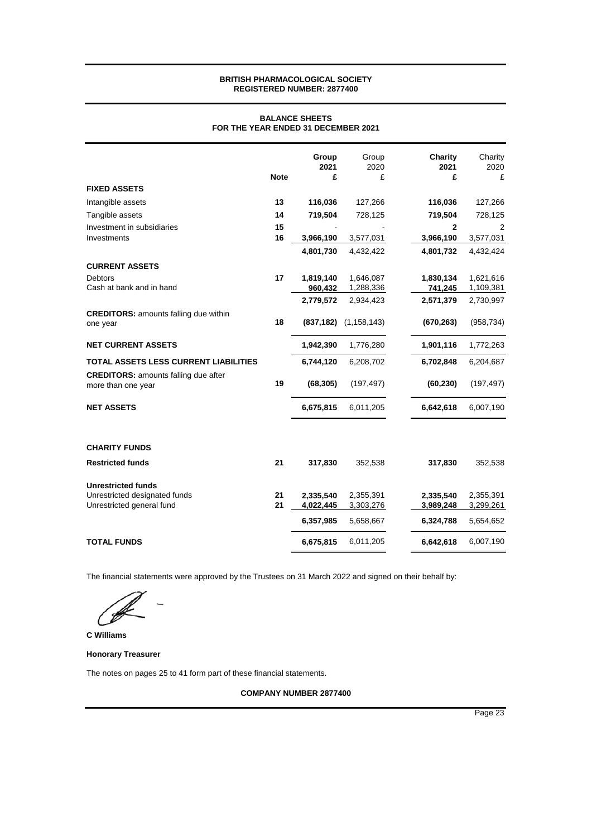### **BALANCE SHEETS FOR THE YEAR ENDED 31 DECEMBER 2021**

|                                                                                         | <b>Note</b> | Group<br>2021<br>£     | Group<br>2020<br>£     | Charity<br>2021<br>£   | Charity<br>2020<br>£   |
|-----------------------------------------------------------------------------------------|-------------|------------------------|------------------------|------------------------|------------------------|
| <b>FIXED ASSETS</b>                                                                     |             |                        |                        |                        |                        |
| Intangible assets                                                                       | 13          | 116,036                | 127,266                | 116,036                | 127,266                |
| Tangible assets                                                                         | 14          | 719,504                | 728,125                | 719,504                | 728,125                |
| Investment in subsidiaries                                                              | 15          |                        |                        | $\mathbf{2}$           | 2                      |
| Investments                                                                             | 16          | 3,966,190              | 3,577,031              | 3,966,190              | 3,577,031              |
|                                                                                         |             | 4,801,730              | 4,432,422              | 4,801,732              | 4,432,424              |
| <b>CURRENT ASSETS</b>                                                                   |             |                        |                        |                        |                        |
| Debtors                                                                                 | 17          | 1,819,140              | 1,646,087              | 1,830,134              | 1,621,616              |
| Cash at bank and in hand                                                                |             | 960,432                | 1,288,336              | 741,245                | 1,109,381              |
|                                                                                         |             | 2,779,572              | 2,934,423              | 2,571,379              | 2,730,997              |
| <b>CREDITORS: amounts falling due within</b><br>one year                                | 18          | (837, 182)             | (1, 158, 143)          | (670, 263)             | (958, 734)             |
| <b>NET CURRENT ASSETS</b>                                                               |             | 1,942,390              | 1,776,280              | 1,901,116              | 1,772,263              |
| <b>TOTAL ASSETS LESS CURRENT LIABILITIES</b>                                            |             | 6,744,120              | 6,208,702              | 6,702,848              | 6,204,687              |
| <b>CREDITORS:</b> amounts falling due after<br>more than one year                       | 19          | (68, 305)              | (197, 497)             | (60, 230)              | (197, 497)             |
| <b>NET ASSETS</b>                                                                       |             | 6,675,815              | 6,011,205              | 6,642,618              | 6,007,190              |
| <b>CHARITY FUNDS</b>                                                                    |             |                        |                        |                        |                        |
| <b>Restricted funds</b>                                                                 | 21          | 317,830                | 352,538                | 317,830                | 352,538                |
| <b>Unrestricted funds</b><br>Unrestricted designated funds<br>Unrestricted general fund | 21<br>21    | 2,335,540<br>4,022,445 | 2,355,391<br>3,303,276 | 2,335,540<br>3,989,248 | 2,355,391<br>3,299,261 |
|                                                                                         |             | 6,357,985              | 5,658,667              | 6,324,788              | 5,654,652              |
| <b>TOTAL FUNDS</b>                                                                      |             | 6,675,815              | 6,011,205              | 6,642,618              | 6,007,190              |

The financial statements were approved by the Trustees on 31 March 2022 and signed on their behalf by:

**C Williams**

**Honorary Treasurer**

The notes on pages 25 to 41 form part of these financial statements.

**COMPANY NUMBER 2877400**

Page 23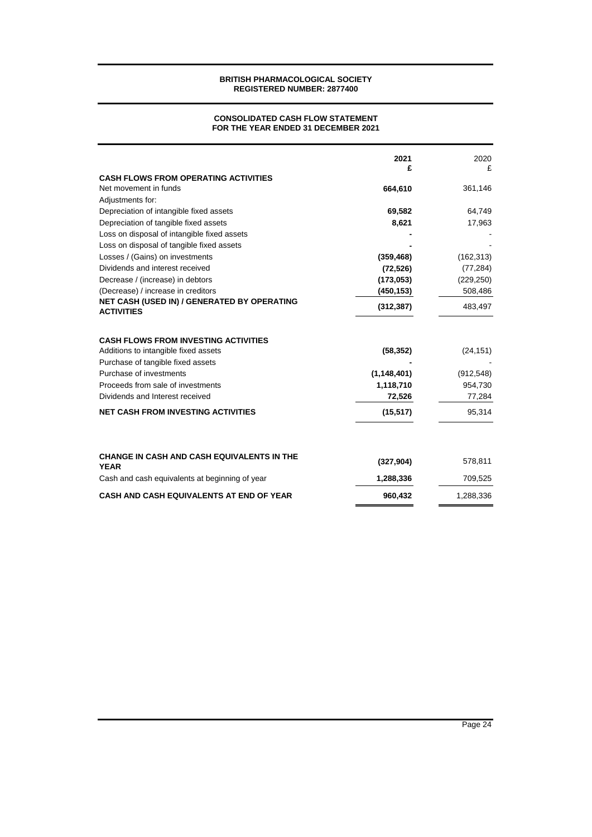#### **CONSOLIDATED CASH FLOW STATEMENT FOR THE YEAR ENDED 31 DECEMBER 2021**

|                                                                                                                                                                                                                                                                          | 2021<br>£                                                      | 2020<br>£                                              |
|--------------------------------------------------------------------------------------------------------------------------------------------------------------------------------------------------------------------------------------------------------------------------|----------------------------------------------------------------|--------------------------------------------------------|
| <b>CASH FLOWS FROM OPERATING ACTIVITIES</b>                                                                                                                                                                                                                              |                                                                |                                                        |
| Net movement in funds                                                                                                                                                                                                                                                    | 664,610                                                        | 361,146                                                |
| Adjustments for:                                                                                                                                                                                                                                                         |                                                                |                                                        |
| Depreciation of intangible fixed assets                                                                                                                                                                                                                                  | 69,582                                                         | 64,749                                                 |
| Depreciation of tangible fixed assets                                                                                                                                                                                                                                    | 8,621                                                          | 17,963                                                 |
| Loss on disposal of intangible fixed assets                                                                                                                                                                                                                              |                                                                |                                                        |
| Loss on disposal of tangible fixed assets                                                                                                                                                                                                                                |                                                                |                                                        |
| Losses / (Gains) on investments                                                                                                                                                                                                                                          | (359, 468)                                                     | (162, 313)                                             |
| Dividends and interest received                                                                                                                                                                                                                                          | (72, 526)                                                      | (77, 284)                                              |
| Decrease / (increase) in debtors                                                                                                                                                                                                                                         | (173, 053)                                                     | (229, 250)                                             |
| (Decrease) / increase in creditors                                                                                                                                                                                                                                       | (450, 153)                                                     | 508,486                                                |
| NET CASH (USED IN) / GENERATED BY OPERATING<br><b>ACTIVITIES</b>                                                                                                                                                                                                         | (312, 387)                                                     | 483,497                                                |
| <b>CASH FLOWS FROM INVESTING ACTIVITIES</b><br>Additions to intangible fixed assets<br>Purchase of tangible fixed assets<br>Purchase of investments<br>Proceeds from sale of investments<br>Dividends and Interest received<br><b>NET CASH FROM INVESTING ACTIVITIES</b> | (58, 352)<br>(1, 148, 401)<br>1,118,710<br>72,526<br>(15, 517) | (24, 151)<br>(912, 548)<br>954,730<br>77,284<br>95,314 |
| <b>CHANGE IN CASH AND CASH EQUIVALENTS IN THE</b><br><b>YEAR</b>                                                                                                                                                                                                         | (327, 904)                                                     | 578.811                                                |
| Cash and cash equivalents at beginning of year                                                                                                                                                                                                                           | 1,288,336                                                      | 709,525                                                |
| <b>CASH AND CASH EQUIVALENTS AT END OF YEAR</b>                                                                                                                                                                                                                          | 960,432                                                        | 1,288,336                                              |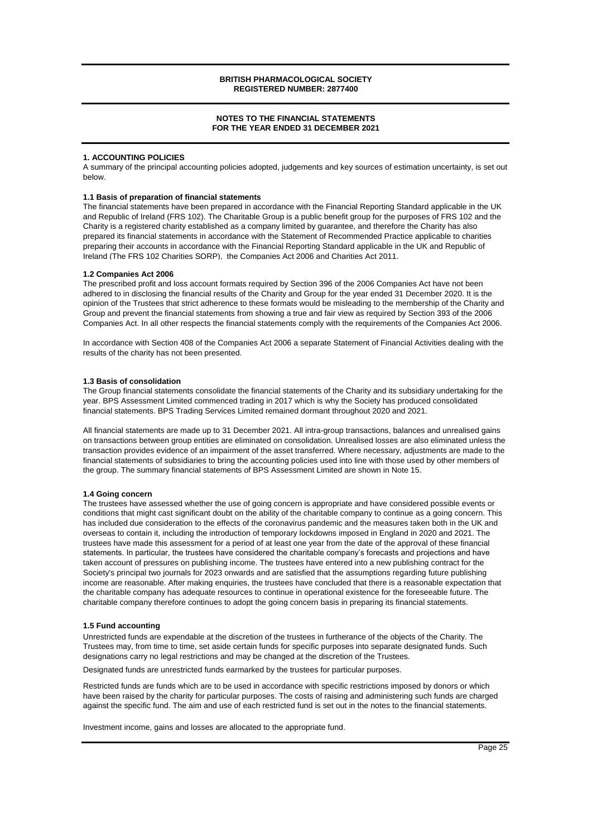### **NOTES TO THE FINANCIAL STATEMENTS FOR THE YEAR ENDED 31 DECEMBER 2021**

#### **1. ACCOUNTING POLICIES**

A summary of the principal accounting policies adopted, judgements and key sources of estimation uncertainty, is set out below.

#### **1.1 Basis of preparation of financial statements**

The financial statements have been prepared in accordance with the Financial Reporting Standard applicable in the UK and Republic of Ireland (FRS 102). The Charitable Group is a public benefit group for the purposes of FRS 102 and the Charity is a registered charity established as a company limited by guarantee, and therefore the Charity has also prepared its financial statements in accordance with the Statement of Recommended Practice applicable to charities preparing their accounts in accordance with the Financial Reporting Standard applicable in the UK and Republic of Ireland (The FRS 102 Charities SORP), the Companies Act 2006 and Charities Act 2011.

#### **1.2 Companies Act 2006**

The prescribed profit and loss account formats required by Section 396 of the 2006 Companies Act have not been adhered to in disclosing the financial results of the Charity and Group for the year ended 31 December 2020. It is the opinion of the Trustees that strict adherence to these formats would be misleading to the membership of the Charity and Group and prevent the financial statements from showing a true and fair view as required by Section 393 of the 2006 Companies Act. In all other respects the financial statements comply with the requirements of the Companies Act 2006.

In accordance with Section 408 of the Companies Act 2006 a separate Statement of Financial Activities dealing with the results of the charity has not been presented.

#### **1.3 Basis of consolidation**

The Group financial statements consolidate the financial statements of the Charity and its subsidiary undertaking for the year. BPS Assessment Limited commenced trading in 2017 which is why the Society has produced consolidated financial statements. BPS Trading Services Limited remained dormant throughout 2020 and 2021.

All financial statements are made up to 31 December 2021. All intra-group transactions, balances and unrealised gains on transactions between group entities are eliminated on consolidation. Unrealised losses are also eliminated unless the transaction provides evidence of an impairment of the asset transferred. Where necessary, adjustments are made to the financial statements of subsidiaries to bring the accounting policies used into line with those used by other members of the group. The summary financial statements of BPS Assessment Limited are shown in Note 15.

#### **1.4 Going concern**

The trustees have assessed whether the use of going concern is appropriate and have considered possible events or conditions that might cast significant doubt on the ability of the charitable company to continue as a going concern. This has included due consideration to the effects of the coronavirus pandemic and the measures taken both in the UK and overseas to contain it, including the introduction of temporary lockdowns imposed in England in 2020 and 2021. The trustees have made this assessment for a period of at least one year from the date of the approval of these financial statements. In particular, the trustees have considered the charitable company's forecasts and projections and have taken account of pressures on publishing income. The trustees have entered into a new publishing contract for the Society's principal two journals for 2023 onwards and are satisfied that the assumptions regarding future publishing income are reasonable. After making enquiries, the trustees have concluded that there is a reasonable expectation that the charitable company has adequate resources to continue in operational existence for the foreseeable future. The charitable company therefore continues to adopt the going concern basis in preparing its financial statements.

#### **1.5 Fund accounting**

Unrestricted funds are expendable at the discretion of the trustees in furtherance of the objects of the Charity. The Trustees may, from time to time, set aside certain funds for specific purposes into separate designated funds. Such designations carry no legal restrictions and may be changed at the discretion of the Trustees.

Designated funds are unrestricted funds earmarked by the trustees for particular purposes.

Restricted funds are funds which are to be used in accordance with specific restrictions imposed by donors or which have been raised by the charity for particular purposes. The costs of raising and administering such funds are charged against the specific fund. The aim and use of each restricted fund is set out in the notes to the financial statements.

Investment income, gains and losses are allocated to the appropriate fund.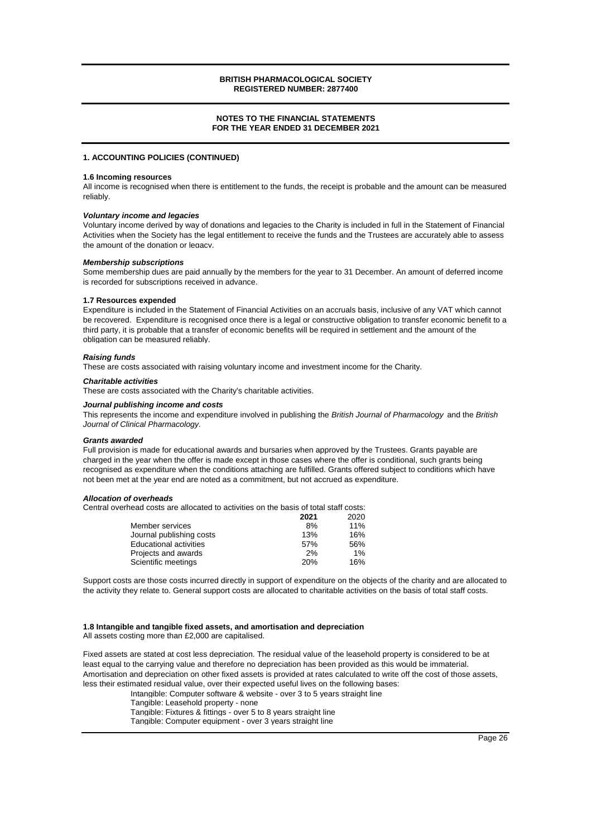### **NOTES TO THE FINANCIAL STATEMENTS FOR THE YEAR ENDED 31 DECEMBER 2021**

#### **1. ACCOUNTING POLICIES (CONTINUED)**

#### **1.6 Incoming resources**

All income is recognised when there is entitlement to the funds, the receipt is probable and the amount can be measured reliably.

#### *Voluntary income and legacies*

Voluntary income derived by way of donations and legacies to the Charity is included in full in the Statement of Financial Activities when the Society has the legal entitlement to receive the funds and the Trustees are accurately able to assess the amount of the donation or legacy.

#### *Membership subscriptions*

Some membership dues are paid annually by the members for the year to 31 December. An amount of deferred income is recorded for subscriptions received in advance.

#### **1.7 Resources expended**

Expenditure is included in the Statement of Financial Activities on an accruals basis, inclusive of any VAT which cannot be recovered. Expenditure is recognised once there is a legal or constructive obligation to transfer economic benefit to a third party, it is probable that a transfer of economic benefits will be required in settlement and the amount of the obligation can be measured reliably.

#### *Raising funds*

These are costs associated with raising voluntary income and investment income for the Charity.

#### *Charitable activities*

These are costs associated with the Charity's charitable activities.

#### *Journal publishing income and costs*

This represents the income and expenditure involved in publishing the *British Journal of Pharmacology* and the *British Journal of Clinical Pharmacology.*

#### *Grants awarded*

Full provision is made for educational awards and bursaries when approved by the Trustees. Grants payable are charged in the year when the offer is made except in those cases where the offer is conditional, such grants being recognised as expenditure when the conditions attaching are fulfilled. Grants offered subject to conditions which have not been met at the year end are noted as a commitment, but not accrued as expenditure.

#### *Allocation of overheads*

Central overhead costs are allocated to activities on the basis of total staff costs:

|                          | 2021 | 2020 |
|--------------------------|------|------|
| Member services          | 8%   | 11%  |
| Journal publishing costs | 13%  | 16%  |
| Educational activities   | 57%  | 56%  |
| Projects and awards      | 2%   | 1%   |
| Scientific meetings      | 20%  | 16%  |

Support costs are those costs incurred directly in support of expenditure on the objects of the charity and are allocated to the activity they relate to. General support costs are allocated to charitable activities on the basis of total staff costs.

#### **1.8 Intangible and tangible fixed assets, and amortisation and depreciation** All assets costing more than £2,000 are capitalised.

Fixed assets are stated at cost less depreciation. The residual value of the leasehold property is considered to be at least equal to the carrying value and therefore no depreciation has been provided as this would be immaterial. Amortisation and depreciation on other fixed assets is provided at rates calculated to write off the cost of those assets, less their estimated residual value, over their expected useful lives on the following bases:

- Intangible: Computer software & website over 3 to 5 years straight line
- Tangible: Leasehold property none
- Tangible: Fixtures & fittings over 5 to 8 years straight line
- Tangible: Computer equipment over 3 years straight line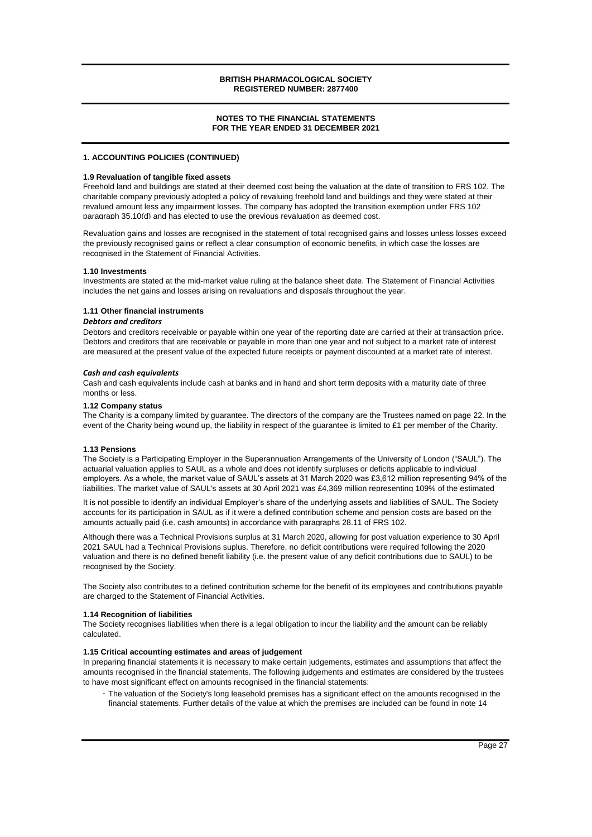### **NOTES TO THE FINANCIAL STATEMENTS FOR THE YEAR ENDED 31 DECEMBER 2021**

### **1. ACCOUNTING POLICIES (CONTINUED)**

#### **1.9 Revaluation of tangible fixed assets**

Freehold land and buildings are stated at their deemed cost being the valuation at the date of transition to FRS 102. The charitable company previously adopted a policy of revaluing freehold land and buildings and they were stated at their revalued amount less any impairment losses. The company has adopted the transition exemption under FRS 102 paragraph 35.10(d) and has elected to use the previous revaluation as deemed cost.

Revaluation gains and losses are recognised in the statement of total recognised gains and losses unless losses exceed the previously recognised gains or reflect a clear consumption of economic benefits, in which case the losses are recognised in the Statement of Financial Activities.

#### **1.10 Investments**

Investments are stated at the mid-market value ruling at the balance sheet date. The Statement of Financial Activities includes the net gains and losses arising on revaluations and disposals throughout the year.

#### **1.11 Other financial instruments**

### *Debtors and creditors*

Debtors and creditors receivable or payable within one year of the reporting date are carried at their at transaction price. Debtors and creditors that are receivable or payable in more than one year and not subject to a market rate of interest are measured at the present value of the expected future receipts or payment discounted at a market rate of interest.

#### *Cash and cash equivalents*

Cash and cash equivalents include cash at banks and in hand and short term deposits with a maturity date of three months or less.

#### **1.12 Company status**

The Charity is a company limited by guarantee. The directors of the company are the Trustees named on page 22. In the event of the Charity being wound up, the liability in respect of the guarantee is limited to £1 per member of the Charity.

### **1.13 Pensions**

The Society is a Participating Employer in the Superannuation Arrangements of the University of London ("SAUL"). The actuarial valuation applies to SAUL as a whole and does not identify surpluses or deficits applicable to individual employers. As a whole, the market value of SAUL's assets at 31 March 2020 was £3,612 million representing 94% of the liabilities. The market value of SAUL's assets at 30 April 2021 was £4,369 million representing 109% of the estimated

It is not possible to identify an individual Employer's share of the underlying assets and liabilities of SAUL. The Society accounts for its participation in SAUL as if it were a defined contribution scheme and pension costs are based on the amounts actually paid (i.e. cash amounts) in accordance with paragraphs 28.11 of FRS 102.

Although there was a Technical Provisions surplus at 31 March 2020, allowing for post valuation experience to 30 April 2021 SAUL had a Technical Provisions suplus. Therefore, no deficit contributions were required following the 2020 valuation and there is no defined benefit liability (i.e. the present value of any deficit contributions due to SAUL) to be recognised by the Society.

The Society also contributes to a defined contribution scheme for the benefit of its employees and contributions payable are charged to the Statement of Financial Activities.

#### **1.14 Recognition of liabilities**

The Society recognises liabilities when there is a legal obligation to incur the liability and the amount can be reliably calculated.

#### **1.15 Critical accounting estimates and areas of judgement**

In preparing financial statements it is necessary to make certain judgements, estimates and assumptions that affect the amounts recognised in the financial statements. The following judgements and estimates are considered by the trustees to have most significant effect on amounts recognised in the financial statements:

- The valuation of the Society's long leasehold premises has a significant effect on the amounts recognised in the financial statements. Further details of the value at which the premises are included can be found in note 14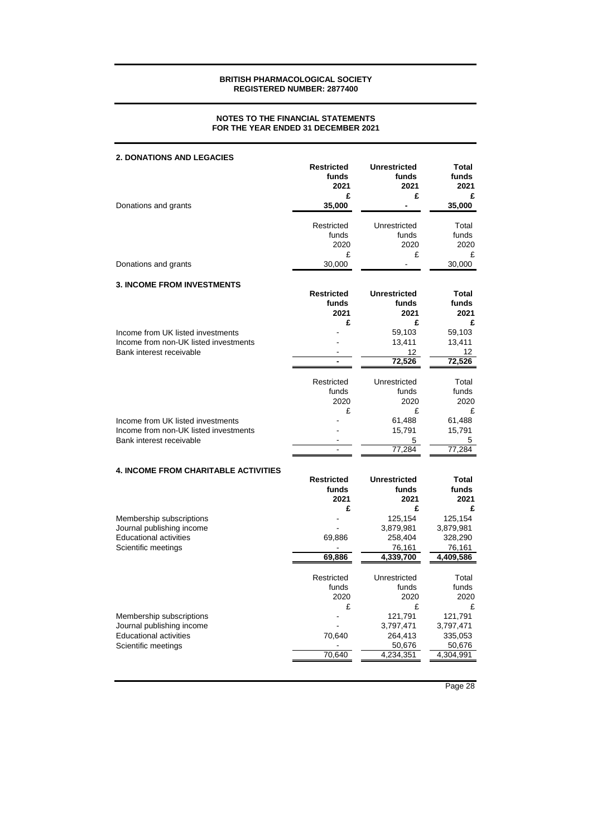### **NOTES TO THE FINANCIAL STATEMENTS FOR THE YEAR ENDED 31 DECEMBER 2021**

| 2. DONATIONS AND LEGACIES                   |                   |                     |           |
|---------------------------------------------|-------------------|---------------------|-----------|
|                                             | <b>Restricted</b> | <b>Unrestricted</b> | Total     |
|                                             | funds             | funds               | funds     |
|                                             | 2021              | 2021                | 2021      |
|                                             | £                 | £                   | £         |
| Donations and grants                        | 35,000            |                     | 35,000    |
|                                             | Restricted        | Unrestricted        | Total     |
|                                             | funds             | funds               | funds     |
|                                             | 2020              | 2020                | 2020      |
|                                             | £                 | £                   | £         |
| Donations and grants                        | 30,000            |                     | 30,000    |
|                                             |                   |                     |           |
| <b>3. INCOME FROM INVESTMENTS</b>           | <b>Restricted</b> | <b>Unrestricted</b> | Total     |
|                                             | funds             | funds               | funds     |
|                                             | 2021              | 2021                | 2021      |
|                                             | £                 | £                   | £         |
| Income from UK listed investments           |                   | 59,103              | 59,103    |
| Income from non-UK listed investments       |                   | 13,411              | 13,411    |
| Bank interest receivable                    |                   | 12                  | 12        |
|                                             | $\overline{a}$    | 72,526              | 72,526    |
|                                             |                   |                     |           |
|                                             | Restricted        | Unrestricted        | Total     |
|                                             | funds             | funds               | funds     |
|                                             | 2020              | 2020                | 2020      |
|                                             | £                 | £                   | £         |
| Income from UK listed investments           |                   | 61,488              | 61,488    |
| Income from non-UK listed investments       |                   | 15,791              | 15,791    |
| Bank interest receivable                    | $\overline{a}$    | 5                   | 5         |
|                                             |                   | 77,284              | 77,284    |
| <b>4. INCOME FROM CHARITABLE ACTIVITIES</b> |                   |                     |           |
|                                             | <b>Restricted</b> | <b>Unrestricted</b> | Total     |
|                                             | funds             | funds               | funds     |
|                                             | 2021              | 2021                | 2021      |
|                                             | £                 | £                   | £         |
| Membership subscriptions                    |                   | 125,154             | 125,154   |
| Journal publishing income                   |                   | 3,879,981           | 3,879,981 |
| <b>Educational activities</b>               | 69,886            | 258,404             | 328,290   |
| Scientific meetings                         |                   | 76,161              | 76,161    |
|                                             | 69,886            | 4,339,700           | 4,409,586 |
|                                             | Restricted        | Unrestricted        | Total     |
|                                             | funds             | funds               | funds     |
|                                             | 2020              | 2020                | 2020      |
|                                             | £                 | £                   | £         |
| Membership subscriptions                    |                   | 121,791             | 121,791   |
| Journal publishing income                   |                   | 3,797,471           | 3,797,471 |
| <b>Educational activities</b>               | 70,640            | 264,413             | 335,053   |
| Scientific meetings                         |                   | 50,676              | 50,676    |
|                                             | 70,640            | 4,234,351           | 4,304,991 |
|                                             |                   |                     |           |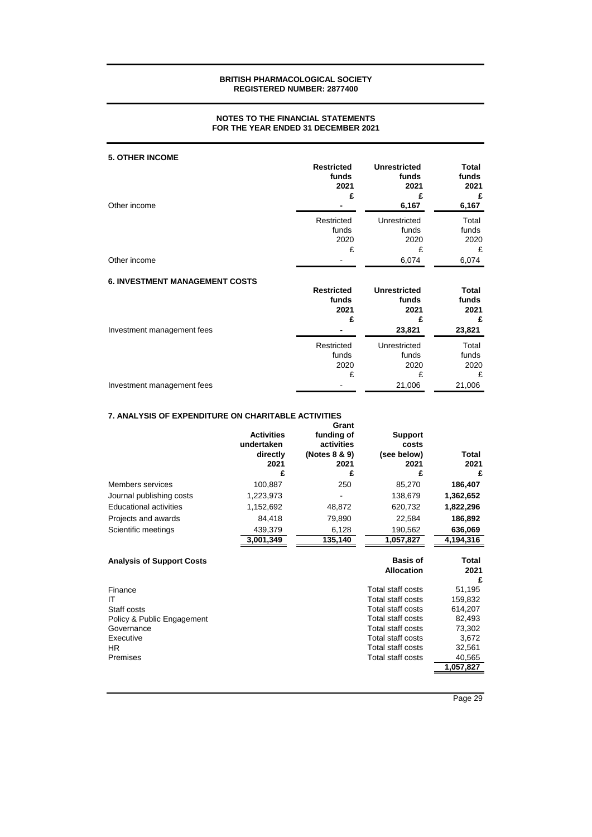### **NOTES TO THE FINANCIAL STATEMENTS FOR THE YEAR ENDED 31 DECEMBER 2021**

| <b>5. OTHER INCOME</b> | <b>Restricted</b><br>funds<br>2021<br>£ | <b>Unrestricted</b><br>funds<br>2021 | <b>Total</b><br>funds<br>2021<br>£ |
|------------------------|-----------------------------------------|--------------------------------------|------------------------------------|
| Other income           |                                         | 6,167                                | 6,167                              |
|                        | Restricted                              | Unrestricted                         | Total                              |
|                        | funds                                   | funds                                | funds                              |
|                        | 2020                                    | 2020                                 | 2020                               |
| Other income           | £                                       | £                                    | £                                  |
|                        | $\overline{\phantom{a}}$                | 6,074                                | 6,074                              |

| <b>6. INVESTMENT MANAGEMENT COSTS</b> | <b>Restricted</b><br>funds<br>2021<br>£ | <b>Unrestricted</b><br>funds<br>2021<br>£ | Total<br>funds<br>2021<br>£ |
|---------------------------------------|-----------------------------------------|-------------------------------------------|-----------------------------|
| Investment management fees            | $\blacksquare$                          | 23,821                                    | 23,821                      |
|                                       | Restricted                              | Unrestricted                              | Total                       |
|                                       | funds                                   | funds                                     | funds                       |
|                                       | 2020                                    | 2020                                      | 2020                        |
|                                       | £                                       | £                                         | £                           |
| Investment management fees            |                                         | 21,006                                    | 21,006                      |

### **7. ANALYSIS OF EXPENDITURE ON CHARITABLE ACTIVITIES**

|                                                                                               | <b>Activities</b><br>undertaken<br>directly<br>2021<br>£ | Grant<br>funding of<br>activities<br>(Notes 8 & 9)<br>2021<br>£ | <b>Support</b><br>costs<br>(see below)<br>2021<br>£                                                                                             | Total<br>2021<br>£                                                               |
|-----------------------------------------------------------------------------------------------|----------------------------------------------------------|-----------------------------------------------------------------|-------------------------------------------------------------------------------------------------------------------------------------------------|----------------------------------------------------------------------------------|
| Members services                                                                              | 100,887                                                  | 250                                                             | 85,270                                                                                                                                          | 186,407                                                                          |
| Journal publishing costs                                                                      | 1,223,973                                                |                                                                 | 138,679                                                                                                                                         | 1,362,652                                                                        |
| <b>Educational activities</b>                                                                 | 1,152,692                                                | 48,872                                                          | 620,732                                                                                                                                         | 1,822,296                                                                        |
| Projects and awards                                                                           | 84,418                                                   | 79.890                                                          | 22.584                                                                                                                                          | 186,892                                                                          |
| Scientific meetings                                                                           | 439,379                                                  | 6,128                                                           | 190,562                                                                                                                                         | 636,069                                                                          |
|                                                                                               | 3,001,349                                                | 135,140                                                         | 1,057,827                                                                                                                                       | 4,194,316                                                                        |
| <b>Analysis of Support Costs</b>                                                              |                                                          |                                                                 | <b>Basis of</b><br><b>Allocation</b>                                                                                                            | Total<br>2021                                                                    |
| Finance                                                                                       |                                                          |                                                                 | Total staff costs                                                                                                                               | £<br>51,195                                                                      |
| ΙT<br>Staff costs<br>Policy & Public Engagement<br>Governance<br>Executive<br>HR.<br>Premises |                                                          |                                                                 | Total staff costs<br>Total staff costs<br>Total staff costs<br>Total staff costs<br>Total staff costs<br>Total staff costs<br>Total staff costs | 159,832<br>614,207<br>82,493<br>73,302<br>3,672<br>32,561<br>40,565<br>1,057,827 |
|                                                                                               |                                                          |                                                                 |                                                                                                                                                 |                                                                                  |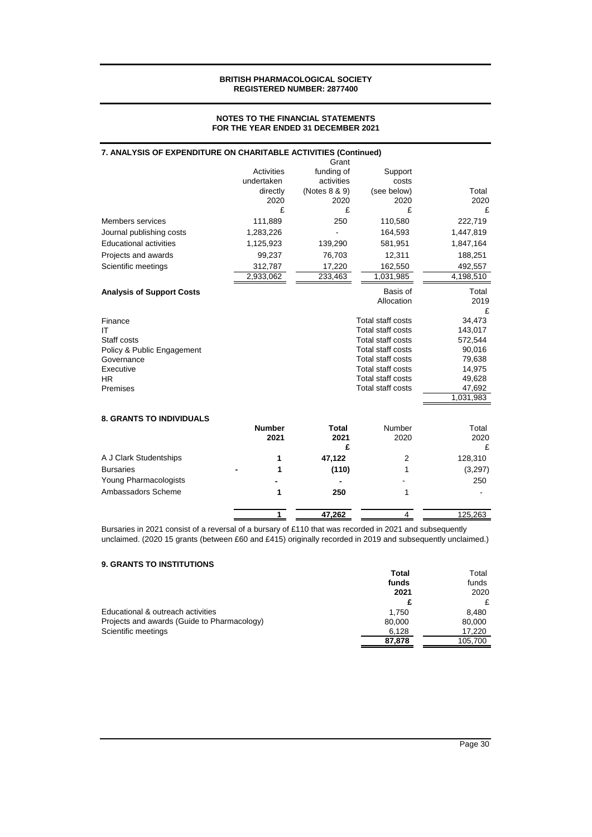### **NOTES TO THE FINANCIAL STATEMENTS FOR THE YEAR ENDED 31 DECEMBER 2021**

| 7. ANALYSIS OF EXPENDITURE ON CHARITABLE ACTIVITIES (Continued) |                                      | Grant                                     |                                        |                   |
|-----------------------------------------------------------------|--------------------------------------|-------------------------------------------|----------------------------------------|-------------------|
|                                                                 | Activities<br>undertaken<br>directly | funding of<br>activities<br>(Notes 8 & 9) | Support<br>costs<br>(see below)        | Total             |
|                                                                 | 2020                                 | 2020                                      | 2020                                   | 2020              |
|                                                                 | £                                    | £                                         | £                                      | £                 |
| Members services                                                | 111,889                              | 250                                       | 110,580                                | 222,719           |
| Journal publishing costs                                        | 1,283,226                            |                                           | 164,593                                | 1,447,819         |
| <b>Educational activities</b>                                   | 1,125,923                            | 139,290                                   | 581,951                                | 1,847,164         |
| Projects and awards                                             | 99,237                               | 76,703                                    | 12,311                                 | 188,251           |
| Scientific meetings                                             | 312,787                              | 17,220                                    | 162,550                                | 492,557           |
|                                                                 | 2,933,062                            | 233,463                                   | 1,031,985                              | 4,198,510         |
| <b>Analysis of Support Costs</b>                                |                                      |                                           | Basis of                               | Total             |
|                                                                 |                                      |                                           | Allocation                             | 2019              |
|                                                                 |                                      |                                           |                                        | £                 |
| Finance<br>IT                                                   |                                      |                                           | Total staff costs<br>Total staff costs | 34,473<br>143,017 |
| Staff costs                                                     |                                      |                                           | Total staff costs                      | 572,544           |
| Policy & Public Engagement                                      |                                      |                                           | Total staff costs                      | 90,016            |
| Governance                                                      |                                      |                                           | Total staff costs                      | 79,638            |
| Executive                                                       |                                      |                                           | Total staff costs                      | 14,975            |
| <b>HR</b>                                                       |                                      |                                           | Total staff costs                      | 49,628            |
| Premises                                                        |                                      |                                           | Total staff costs                      | 47,692            |
|                                                                 |                                      |                                           |                                        | 1,031,983         |
| <b>8. GRANTS TO INDIVIDUALS</b>                                 |                                      |                                           |                                        |                   |
|                                                                 | <b>Number</b>                        | <b>Total</b>                              | Number                                 | Total             |
|                                                                 | 2021                                 | 2021                                      | 2020                                   | 2020              |
|                                                                 |                                      | £                                         |                                        | £                 |
| A J Clark Studentships                                          | 1                                    | 47,122                                    | 2                                      | 128,310           |
| <b>Bursaries</b>                                                | 1                                    | (110)                                     | 1                                      | (3, 297)          |
| Young Pharmacologists                                           |                                      |                                           |                                        | 250               |
| Ambassadors Scheme                                              | 1                                    | 250                                       | 1                                      |                   |
|                                                                 | 1                                    | 47,262                                    | 4                                      | 125,263           |
|                                                                 |                                      |                                           |                                        |                   |

Bursaries in 2021 consist of a reversal of a bursary of £110 that was recorded in 2021 and subsequently unclaimed. (2020 15 grants (between £60 and £415) originally recorded in 2019 and subsequently unclaimed.)

### **9. GRANTS TO INSTITUTIONS**

| 3. GIVANTS TO INSTITUTIONS                  |        |         |
|---------------------------------------------|--------|---------|
|                                             | Total  | Total   |
|                                             | funds  | funds   |
|                                             | 2021   | 2020    |
|                                             |        |         |
| Educational & outreach activities           | 1.750  | 8.480   |
| Projects and awards (Guide to Pharmacology) | 80,000 | 80,000  |
| Scientific meetings                         | 6.128  | 17.220  |
|                                             | 87.878 | 105.700 |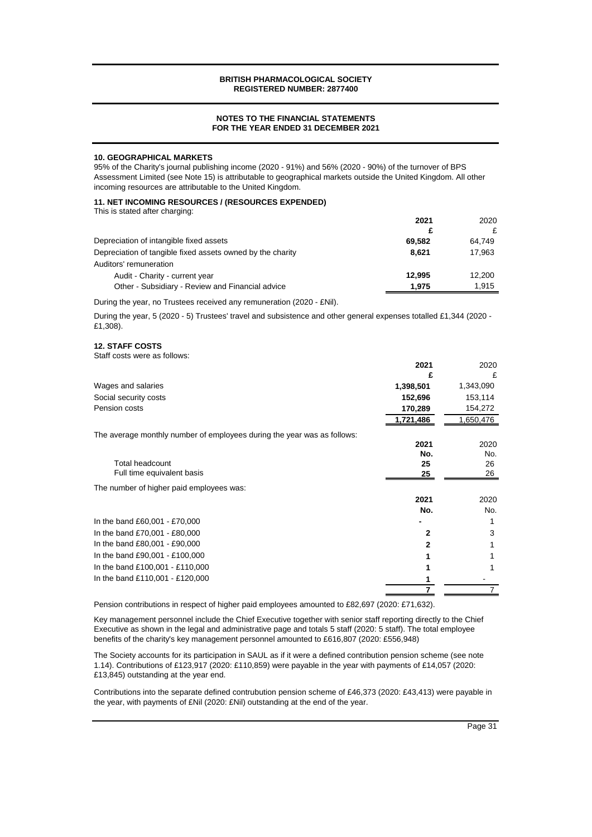### **NOTES TO THE FINANCIAL STATEMENTS FOR THE YEAR ENDED 31 DECEMBER 2021**

#### **10. GEOGRAPHICAL MARKETS**

95% of the Charity's journal publishing income (2020 - 91%) and 56% (2020 - 90%) of the turnover of BPS Assessment Limited (see Note 15) is attributable to geographical markets outside the United Kingdom. All other incoming resources are attributable to the United Kingdom.

### **11. NET INCOMING RESOURCES / (RESOURCES EXPENDED)**

| This is stated after charging: |  |
|--------------------------------|--|
|--------------------------------|--|

|                                                            | 2021   | 2020   |
|------------------------------------------------------------|--------|--------|
|                                                            |        |        |
| Depreciation of intangible fixed assets                    | 69.582 | 64.749 |
| Depreciation of tangible fixed assets owned by the charity | 8.621  | 17,963 |
| Auditors' remuneration                                     |        |        |
| Audit - Charity - current year                             | 12.995 | 12.200 |
| Other - Subsidiary - Review and Financial advice           | 1.975  | 1.915  |

During the year, no Trustees received any remuneration (2020 - £Nil).

During the year, 5 (2020 - 5) Trustees' travel and subsistence and other general expenses totalled £1,344 (2020 - £1,308).

### **12. STAFF COSTS**

Staff costs were as follows:

|                                                                         | 2021      | 2020      |
|-------------------------------------------------------------------------|-----------|-----------|
|                                                                         |           | £         |
| Wages and salaries                                                      | 1,398,501 | 1,343,090 |
| Social security costs                                                   | 152,696   | 153,114   |
| Pension costs                                                           | 170,289   | 154,272   |
|                                                                         | 1,721,486 | 1,650,476 |
| The average monthly number of employees during the year was as follows: |           |           |
|                                                                         | 2021      | 2020      |
|                                                                         | No.       | No.       |
| <b>Total headcount</b>                                                  | 25        | 26        |
| Full time equivalent basis                                              | 25        | 26        |
| The number of higher paid employees was:                                |           |           |
|                                                                         | 2021      | 2020      |
|                                                                         | No.       | No.       |
| In the band £60,001 - £70,000                                           |           |           |
| In the band £70,001 - £80,000                                           | 2         | 3         |
| In the band £80,001 - £90,000                                           | 2         |           |
| In the band £90,001 - £100,000                                          |           |           |
| In the band £100,001 - £110,000                                         |           |           |
| In the band £110,001 - £120,000                                         |           |           |
|                                                                         |           |           |

Pension contributions in respect of higher paid employees amounted to £82,697 (2020: £71,632).

Key management personnel include the Chief Executive together with senior staff reporting directly to the Chief Executive as shown in the legal and administrative page and totals 5 staff (2020: 5 staff). The total employee benefits of the charity's key management personnel amounted to £616,807 (2020: £556,948)

The Society accounts for its participation in SAUL as if it were a defined contribution pension scheme (see note 1.14). Contributions of £123,917 (2020: £110,859) were payable in the year with payments of £14,057 (2020: £13,845) outstanding at the year end.

Contributions into the separate defined contrubution pension scheme of £46,373 (2020: £43,413) were payable in the year, with payments of £Nil (2020: £Nil) outstanding at the end of the year.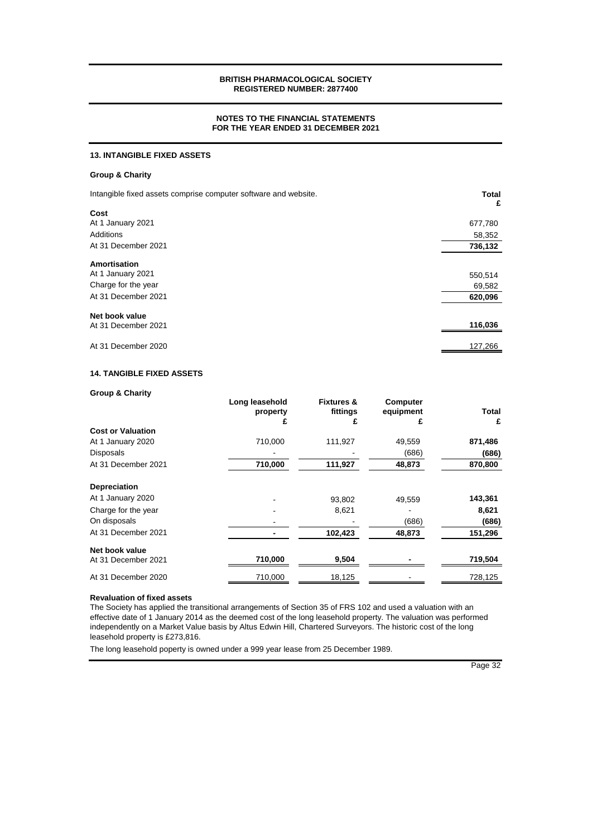### **NOTES TO THE FINANCIAL STATEMENTS FOR THE YEAR ENDED 31 DECEMBER 2021**

### **13. INTANGIBLE FIXED ASSETS**

### **Group & Charity**

| Intangible fixed assets comprise computer software and website. | <b>Total</b><br>£ |
|-----------------------------------------------------------------|-------------------|
| Cost                                                            |                   |
| At 1 January 2021                                               | 677,780           |
| Additions                                                       | 58,352            |
| At 31 December 2021                                             | 736,132           |
| Amortisation                                                    |                   |
| At 1 January 2021                                               | 550,514           |
| Charge for the year                                             | 69,582            |
| At 31 December 2021                                             | 620,096           |
| Net book value<br>At 31 December 2021                           | 116,036           |
| At 31 December 2020                                             | 127,266           |

### **14. TANGIBLE FIXED ASSETS**

| <b>Group &amp; Charity</b> |                                 |                                   |                            |            |
|----------------------------|---------------------------------|-----------------------------------|----------------------------|------------|
|                            | Long leasehold<br>property<br>£ | <b>Fixtures &amp;</b><br>fittings | Computer<br>equipment<br>£ | Total<br>£ |
| <b>Cost or Valuation</b>   |                                 |                                   |                            |            |
| At 1 January 2020          | 710,000                         | 111,927                           | 49,559                     | 871,486    |
| Disposals                  |                                 |                                   | (686)                      | (686)      |
| At 31 December 2021        | 710,000                         | 111,927                           | 48,873                     | 870,800    |
| <b>Depreciation</b>        |                                 |                                   |                            |            |
| At 1 January 2020          |                                 | 93,802                            | 49,559                     | 143,361    |
| Charge for the year        |                                 | 8,621                             |                            | 8,621      |
| On disposals               |                                 |                                   | (686)                      | (686)      |
| At 31 December 2021        |                                 | 102,423                           | 48,873                     | 151,296    |
| Net book value             |                                 |                                   |                            |            |
| At 31 December 2021        | 710,000                         | 9,504                             |                            | 719,504    |
| At 31 December 2020        | 710,000                         | 18,125                            |                            | 728,125    |

### **Revaluation of fixed assets**

The Society has applied the transitional arrangements of Section 35 of FRS 102 and used a valuation with an effective date of 1 January 2014 as the deemed cost of the long leasehold property. The valuation was performed independently on a Market Value basis by Altus Edwin Hill, Chartered Surveyors. The historic cost of the long leasehold property is £273,816.

The long leasehold poperty is owned under a 999 year lease from 25 December 1989.

Page 32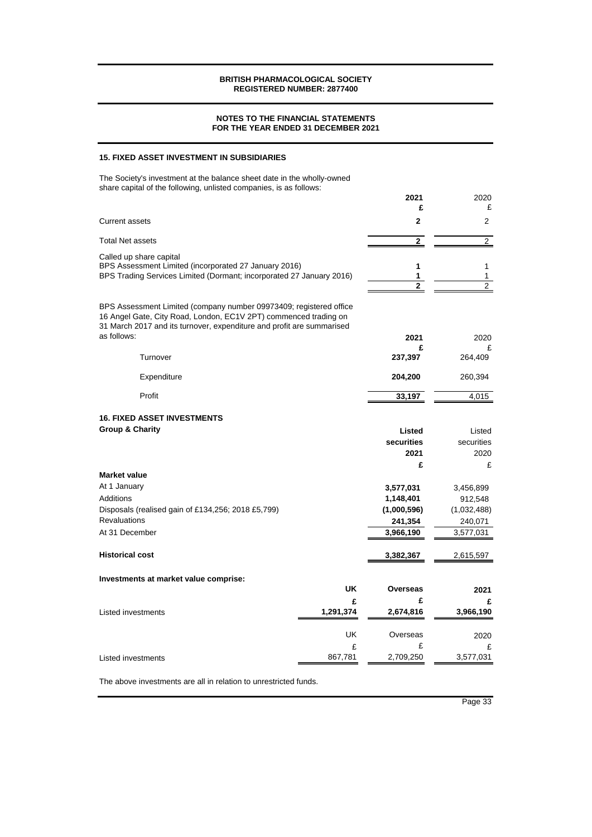### **NOTES TO THE FINANCIAL STATEMENTS FOR THE YEAR ENDED 31 DECEMBER 2021**

### **15. FIXED ASSET INVESTMENT IN SUBSIDIARIES**

The Society's investment at the balance sheet date in the wholly-owned share capital of the following, unlisted companies, is as follows:

| onare capital or the following, aniloted companies, is as follows.                                                                                                                                              |           | 2021<br>£      | 2020<br>£      |
|-----------------------------------------------------------------------------------------------------------------------------------------------------------------------------------------------------------------|-----------|----------------|----------------|
|                                                                                                                                                                                                                 |           |                |                |
| <b>Current assets</b>                                                                                                                                                                                           |           | $\mathbf{2}$   | 2              |
| <b>Total Net assets</b>                                                                                                                                                                                         |           | $\overline{2}$ | $\overline{2}$ |
| Called up share capital                                                                                                                                                                                         |           |                |                |
| BPS Assessment Limited (incorporated 27 January 2016)                                                                                                                                                           |           | 1              | 1              |
| BPS Trading Services Limited (Dormant; incorporated 27 January 2016)                                                                                                                                            |           | 1              | 1              |
|                                                                                                                                                                                                                 |           | $\overline{2}$ | $\overline{2}$ |
| BPS Assessment Limited (company number 09973409; registered office<br>16 Angel Gate, City Road, London, EC1V 2PT) commenced trading on<br>31 March 2017 and its turnover, expenditure and profit are summarised |           |                |                |
| as follows:                                                                                                                                                                                                     |           | 2021           | 2020           |
| Turnover                                                                                                                                                                                                        |           | £<br>237,397   | £<br>264,409   |
| Expenditure                                                                                                                                                                                                     |           | 204,200        | 260,394        |
| Profit                                                                                                                                                                                                          |           | 33,197         | 4,015          |
| <b>16. FIXED ASSET INVESTMENTS</b>                                                                                                                                                                              |           |                |                |
| <b>Group &amp; Charity</b>                                                                                                                                                                                      |           | Listed         | Listed         |
|                                                                                                                                                                                                                 |           | securities     | securities     |
|                                                                                                                                                                                                                 |           | 2021           | 2020           |
|                                                                                                                                                                                                                 |           | £              | £              |
| <b>Market value</b>                                                                                                                                                                                             |           |                |                |
| At 1 January                                                                                                                                                                                                    |           | 3,577,031      | 3,456,899      |
| Additions                                                                                                                                                                                                       |           | 1,148,401      | 912,548        |
| Disposals (realised gain of £134,256; 2018 £5,799)                                                                                                                                                              |           | (1,000,596)    | (1,032,488)    |
| <b>Revaluations</b>                                                                                                                                                                                             |           | 241,354        | 240,071        |
| At 31 December                                                                                                                                                                                                  |           | 3,966,190      | 3,577,031      |
| <b>Historical cost</b>                                                                                                                                                                                          |           | 3,382,367      | 2,615,597      |
| Investments at market value comprise:                                                                                                                                                                           |           |                |                |
|                                                                                                                                                                                                                 | UK        | Overseas       | 2021           |
|                                                                                                                                                                                                                 | £         | £              |                |
| Listed investments                                                                                                                                                                                              | 1,291,374 | 2,674,816      | 3,966,190      |
|                                                                                                                                                                                                                 | UK        | Overseas       | 2020           |
|                                                                                                                                                                                                                 | £         | £              | £              |
| <b>Listed investments</b>                                                                                                                                                                                       | 867,781   | 2,709,250      | 3,577,031      |

The above investments are all in relation to unrestricted funds.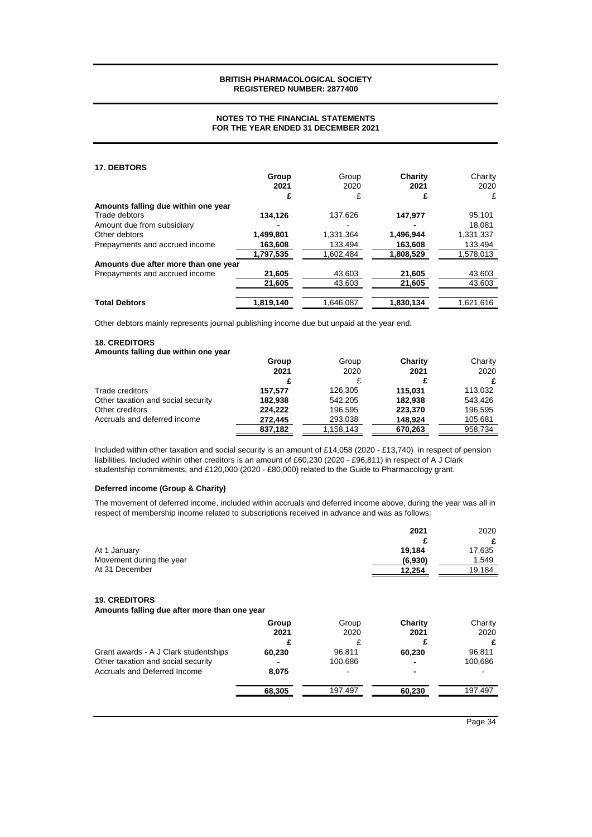### **NOTES TO THE FINANCIAL STATEMENTS FOR THE YEAR ENDED 31 DECEMBER 2021**

### **17. DEBTORS**

|                                      | Group     | Group     | Charity   | Charity   |
|--------------------------------------|-----------|-----------|-----------|-----------|
|                                      | 2021      | 2020      | 2021      | 2020      |
|                                      | £         |           |           | £         |
| Amounts falling due within one year  |           |           |           |           |
| Trade debtors                        | 134,126   | 137,626   | 147,977   | 95,101    |
| Amount due from subsidiary           |           |           |           | 18.081    |
| Other debtors                        | 1,499,801 | 1,331,364 | 1,496,944 | 1,331,337 |
| Prepayments and accrued income       | 163,608   | 133.494   | 163,608   | 133.494   |
|                                      | 1.797.535 | 1.602.484 | 1,808,529 | 1,578,013 |
| Amounts due after more than one year |           |           |           |           |
| Prepayments and accrued income       | 21,605    | 43,603    | 21.605    | 43,603    |
|                                      | 21.605    | 43.603    | 21.605    | 43.603    |
| <b>Total Debtors</b>                 | 1,819,140 | 1,646,087 | 1,830,134 | 1,621,616 |

Other debtors mainly represents journal publishing income due but unpaid at the year end.

### **18. CREDITORS**

### **Amounts falling due within one year**

|                                    | Group   | Group     | Charity | Charity |
|------------------------------------|---------|-----------|---------|---------|
|                                    | 2021    | 2020      | 2021    | 2020    |
|                                    |         |           |         | £       |
| Trade creditors                    | 157.577 | 126,305   | 115.031 | 113,032 |
| Other taxation and social security | 182,938 | 542,205   | 182.938 | 543,426 |
| Other creditors                    | 224.222 | 196,595   | 223,370 | 196,595 |
| Accruals and deferred income       | 272.445 | 293,038   | 148.924 | 105,681 |
|                                    | 837,182 | 1,158,143 | 670,263 | 958,734 |

Included within other taxation and social security is an amount of £14,058 (2020 - £13,740) in respect of pension liabilities. Included within other creditors is an amount of £60,230 (2020 - £96,811) in respect of A J Clark studentship commitments, and £120,000 (2020 - £80,000) related to the Guide to Pharmacology grant.

### **Deferred income (Group & Charity)**

The movement of deferred income, included within accruals and deferred income above, during the year was all in respect of membership income related to subscriptions received in advance and was as follows:

|                          | 2021    | 2020   |
|--------------------------|---------|--------|
|                          |         | £      |
| At 1 January             | 19.184  | 17,635 |
| Movement during the year | (6,930) | 1.549  |
| At 31 December           | 12,254  | 19.184 |

#### **19. CREDITORS**

**Amounts falling due after more than one year**

|                                       | Group<br>2021            | Group<br>2020 | Charity<br>2021          | Charity<br>2020 |
|---------------------------------------|--------------------------|---------------|--------------------------|-----------------|
|                                       |                          |               |                          | £               |
| Grant awards - A J Clark studentships | 60,230                   | 96.811        | 60.230                   | 96.811          |
| Other taxation and social security    | $\overline{\phantom{0}}$ | 100,686       | ۰                        | 100,686         |
| Accruals and Deferred Income          | 8.075                    |               | $\overline{\phantom{0}}$ |                 |
|                                       | 68,305                   | 197.497       | 60,230                   | 197.497         |
|                                       |                          |               |                          |                 |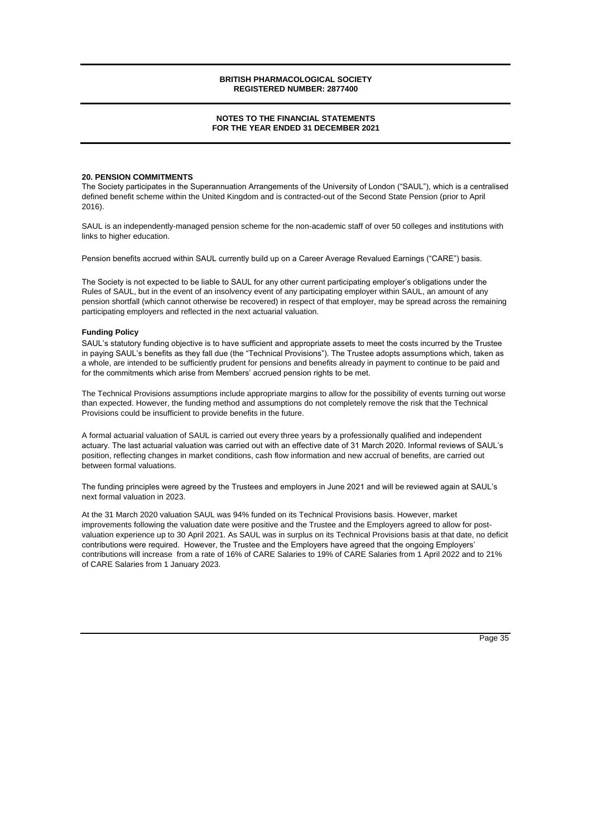### **NOTES TO THE FINANCIAL STATEMENTS FOR THE YEAR ENDED 31 DECEMBER 2021**

#### **20. PENSION COMMITMENTS**

The Society participates in the Superannuation Arrangements of the University of London ("SAUL"), which is a centralised defined benefit scheme within the United Kingdom and is contracted-out of the Second State Pension (prior to April 2016).

SAUL is an independently-managed pension scheme for the non-academic staff of over 50 colleges and institutions with links to higher education.

Pension benefits accrued within SAUL currently build up on a Career Average Revalued Earnings ("CARE") basis.

The Society is not expected to be liable to SAUL for any other current participating employer's obligations under the Rules of SAUL, but in the event of an insolvency event of any participating employer within SAUL, an amount of any pension shortfall (which cannot otherwise be recovered) in respect of that employer, may be spread across the remaining participating employers and reflected in the next actuarial valuation.

### **Funding Policy**

SAUL's statutory funding objective is to have sufficient and appropriate assets to meet the costs incurred by the Trustee in paying SAUL's benefits as they fall due (the "Technical Provisions"). The Trustee adopts assumptions which, taken as a whole, are intended to be sufficiently prudent for pensions and benefits already in payment to continue to be paid and for the commitments which arise from Members' accrued pension rights to be met.

The Technical Provisions assumptions include appropriate margins to allow for the possibility of events turning out worse than expected. However, the funding method and assumptions do not completely remove the risk that the Technical Provisions could be insufficient to provide benefits in the future.

A formal actuarial valuation of SAUL is carried out every three years by a professionally qualified and independent actuary. The last actuarial valuation was carried out with an effective date of 31 March 2020. Informal reviews of SAUL's position, reflecting changes in market conditions, cash flow information and new accrual of benefits, are carried out between formal valuations.

The funding principles were agreed by the Trustees and employers in June 2021 and will be reviewed again at SAUL's next formal valuation in 2023.

At the 31 March 2020 valuation SAUL was 94% funded on its Technical Provisions basis. However, market improvements following the valuation date were positive and the Trustee and the Employers agreed to allow for postvaluation experience up to 30 April 2021. As SAUL was in surplus on its Technical Provisions basis at that date, no deficit contributions were required. However, the Trustee and the Employers have agreed that the ongoing Employers' contributions will increase from a rate of 16% of CARE Salaries to 19% of CARE Salaries from 1 April 2022 and to 21% of CARE Salaries from 1 January 2023.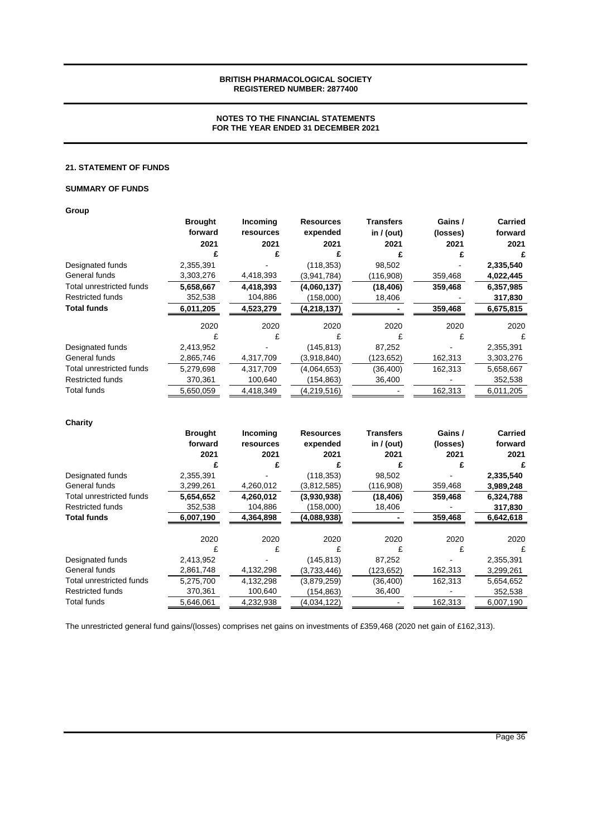### **NOTES TO THE FINANCIAL STATEMENTS FOR THE YEAR ENDED 31 DECEMBER 2021**

### **21. STATEMENT OF FUNDS**

### **SUMMARY OF FUNDS**

### **Group**

|                          | <b>Brought</b> | Incoming  | <b>Resources</b> | <b>Transfers</b> | Gains/   | <b>Carried</b> |
|--------------------------|----------------|-----------|------------------|------------------|----------|----------------|
|                          | forward        | resources | expended         | in $/$ (out)     | (losses) | forward        |
|                          | 2021           | 2021      | 2021             | 2021             | 2021     | 2021           |
|                          |                |           |                  |                  |          |                |
| Designated funds         | 2,355,391      |           | (118, 353)       | 98,502           |          | 2,335,540      |
| General funds            | 3,303,276      | 4,418,393 | (3,941,784)      | (116,908)        | 359,468  | 4,022,445      |
| Total unrestricted funds | 5,658,667      | 4,418,393 | (4,060,137)      | (18, 406)        | 359,468  | 6,357,985      |
| <b>Restricted funds</b>  | 352,538        | 104,886   | (158,000)        | 18,406           |          | 317,830        |
| <b>Total funds</b>       | 6,011,205      | 4,523,279 | (4,218,137)      |                  | 359,468  | 6,675,815      |
|                          | 2020           | 2020      | 2020             | 2020             | 2020     | 2020           |
|                          |                |           |                  |                  |          | £              |
| Designated funds         | 2,413,952      |           | (145, 813)       | 87,252           |          | 2,355,391      |
| General funds            | 2,865,746      | 4,317,709 | (3,918,840)      | (123, 652)       | 162,313  | 3,303,276      |
| Total unrestricted funds | 5,279,698      | 4,317,709 | (4,064,653)      | (36, 400)        | 162,313  | 5,658,667      |
| <b>Restricted funds</b>  | 370,361        | 100,640   | (154,863)        | 36,400           |          | 352,538        |
| Total funds              | 5,650,059      | 4,418,349 | (4,219,516)      |                  | 162,313  | 6,011,205      |

### **Charity**

|                          | <b>Brought</b> | Incoming  | <b>Resources</b> | Transfers    | Gains /  | <b>Carried</b> |
|--------------------------|----------------|-----------|------------------|--------------|----------|----------------|
|                          | forward        | resources | expended         | in $/$ (out) | (losses) | forward        |
|                          | 2021           | 2021      | 2021             | 2021         | 2021     | 2021           |
|                          |                |           |                  |              |          |                |
| Designated funds         | 2,355,391      |           | (118, 353)       | 98,502       |          | 2,335,540      |
| General funds            | 3,299,261      | 4,260,012 | (3,812,585)      | (116,908)    | 359,468  | 3,989,248      |
| Total unrestricted funds | 5,654,652      | 4,260,012 | (3,930,938)      | (18, 406)    | 359,468  | 6,324,788      |
| <b>Restricted funds</b>  | 352,538        | 104,886   | (158,000)        | 18,406       |          | 317,830        |
| <b>Total funds</b>       | 6,007,190      | 4,364,898 | (4,088,938)      |              | 359,468  | 6,642,618      |
|                          | 2020           | 2020      | 2020             | 2020         | 2020     | 2020           |
|                          |                |           |                  |              |          |                |
| Designated funds         | 2,413,952      |           | (145, 813)       | 87,252       |          | 2,355,391      |
| General funds            | 2,861,748      | 4,132,298 | (3,733,446)      | (123,652)    | 162,313  | 3,299,261      |
| Total unrestricted funds | 5,275,700      | 4,132,298 | (3,879,259)      | (36, 400)    | 162,313  | 5,654,652      |
| <b>Restricted funds</b>  | 370,361        | 100,640   | (154,863)        | 36,400       |          | 352,538        |
| Total funds              | 5,646,061      | 4,232,938 | (4,034,122)      |              | 162,313  | 6,007,190      |
|                          |                |           |                  |              |          |                |

The unrestricted general fund gains/(losses) comprises net gains on investments of £359,468 (2020 net gain of £162,313).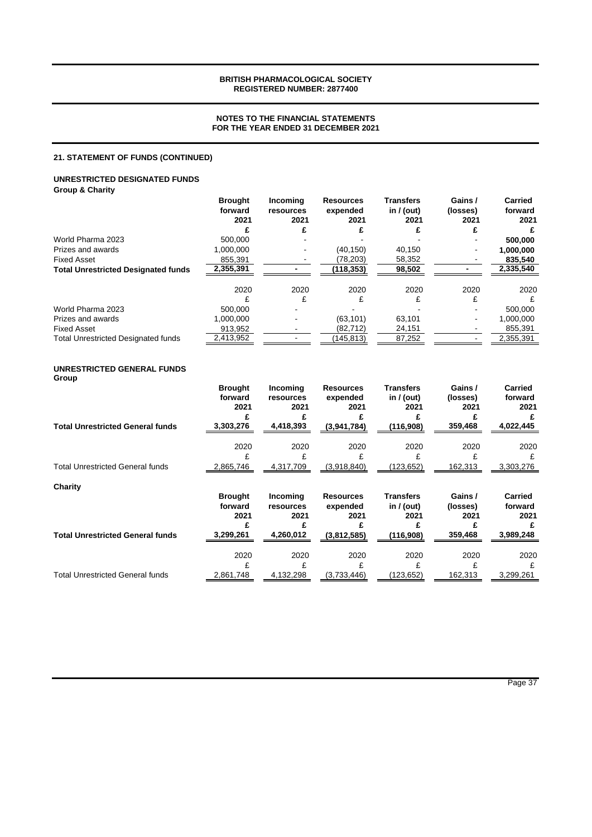### **NOTES TO THE FINANCIAL STATEMENTS FOR THE YEAR ENDED 31 DECEMBER 2021**

### **21. STATEMENT OF FUNDS (CONTINUED)**

# **UNRESTRICTED DESIGNATED FUNDS**

**Group & Charity**

|                                            | <b>Brought</b><br>forward<br>2021 | Incomina<br>resources<br>2021 | <b>Resources</b><br>expended<br>2021 | Transfers<br>in $/$ (out)<br>2021 | Gains /<br>(losses)<br>2021 | Carried<br>forward<br>2021 |
|--------------------------------------------|-----------------------------------|-------------------------------|--------------------------------------|-----------------------------------|-----------------------------|----------------------------|
|                                            |                                   |                               |                                      |                                   |                             |                            |
| World Pharma 2023                          | 500.000                           |                               |                                      |                                   |                             | 500,000                    |
| Prizes and awards                          | 1.000.000                         |                               | (40.150)                             | 40.150                            |                             | 1.000.000                  |
| <b>Fixed Asset</b>                         | 855,391                           |                               | (78, 203)                            | 58,352                            |                             | 835,540                    |
| <b>Total Unrestricted Designated funds</b> | 2,355,391                         |                               | (118,353)                            | 98,502                            |                             | 2,335,540                  |
|                                            | 2020                              | 2020                          | 2020                                 | 2020                              | 2020                        | 2020                       |
|                                            |                                   |                               |                                      |                                   |                             |                            |
| World Pharma 2023                          | 500.000                           |                               |                                      |                                   |                             | 500,000                    |
| Prizes and awards                          | 1,000,000                         |                               | (63, 101)                            | 63,101                            |                             | 1,000,000                  |
| <b>Fixed Asset</b>                         | 913,952                           |                               | (82, 712)                            | 24,151                            |                             | 855,391                    |
| <b>Total Unrestricted Designated funds</b> | 2,413,952                         |                               | (145, 813)                           | 87,252                            |                             | 2,355,391                  |

### **UNRESTRICTED GENERAL FUNDS Group**

| <b>Total Unrestricted General funds</b> | <b>Brought</b><br>forward<br>2021<br>3,303,276 | Incoming<br>resources<br>2021<br>4,418,393 | <b>Resources</b><br>expended<br>2021<br>(3,941,784) | Transfers<br>in $/$ (out)<br>2021<br>(116,908) | Gains /<br>(losses)<br>2021<br>359,468 | <b>Carried</b><br>forward<br>2021<br>4,022,445 |
|-----------------------------------------|------------------------------------------------|--------------------------------------------|-----------------------------------------------------|------------------------------------------------|----------------------------------------|------------------------------------------------|
|                                         | 2020                                           | 2020                                       | 2020                                                | 2020                                           | 2020                                   | 2020                                           |
| <b>Total Unrestricted General funds</b> | 2,865,746                                      | 4,317,709                                  | (3,918,840)                                         | (123, 652)                                     | 162,313                                | 3,303,276                                      |
| Charity                                 |                                                |                                            |                                                     |                                                |                                        |                                                |
|                                         | <b>Brought</b><br>forward<br>2021              | Incoming<br>resources<br>2021              | <b>Resources</b><br>expended<br>2021                | <b>Transfers</b><br>in $/$ (out)<br>2021       | Gains /<br>(losses)<br>2021            | <b>Carried</b><br>forward<br>2021              |
| <b>Total Unrestricted General funds</b> | 3,299,261                                      | 4,260,012                                  | (3,812,585)                                         | (116,908)                                      | 359,468                                | 3,989,248                                      |
|                                         | 2020                                           | 2020                                       | 2020                                                | 2020                                           | 2020                                   | 2020                                           |
| <b>Total Unrestricted General funds</b> | 2,861,748                                      | 4,132,298                                  | (3,733,446)                                         | (123, 652)                                     | 162,313                                | 3,299,261                                      |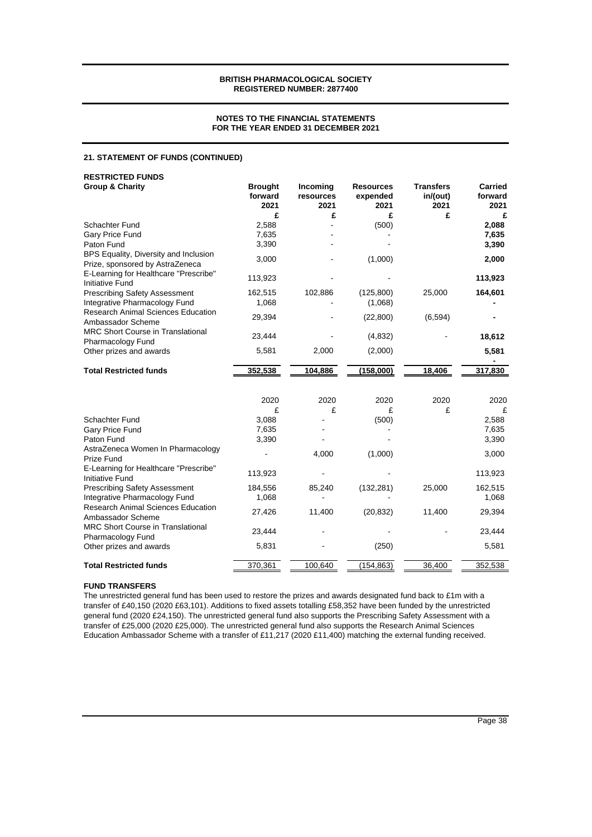### **NOTES TO THE FINANCIAL STATEMENTS FOR THE YEAR ENDED 31 DECEMBER 2021**

### **21. STATEMENT OF FUNDS (CONTINUED)**

| <b>RESTRICTED FUNDS</b>                                                                         |                                   |                               |                                      |                                      |                            |
|-------------------------------------------------------------------------------------------------|-----------------------------------|-------------------------------|--------------------------------------|--------------------------------------|----------------------------|
| <b>Group &amp; Charity</b>                                                                      | <b>Brought</b><br>forward<br>2021 | Incoming<br>resources<br>2021 | <b>Resources</b><br>expended<br>2021 | <b>Transfers</b><br>in/(out)<br>2021 | Carried<br>forward<br>2021 |
|                                                                                                 | £                                 | £                             | £                                    | £                                    | £                          |
| Schachter Fund                                                                                  | 2,588                             |                               | (500)                                |                                      | 2,088                      |
| Gary Price Fund                                                                                 | 7,635                             |                               |                                      |                                      | 7,635                      |
| Paton Fund                                                                                      | 3,390                             |                               |                                      |                                      | 3,390                      |
| BPS Equality, Diversity and Inclusion<br>Prize, sponsored by AstraZeneca                        | 3,000                             |                               | (1,000)                              |                                      | 2,000                      |
| E-Learning for Healthcare "Prescribe"<br><b>Initiative Fund</b>                                 | 113,923                           |                               |                                      |                                      | 113,923                    |
| <b>Prescribing Safety Assessment</b>                                                            | 162,515                           | 102,886                       | (125, 800)                           | 25,000                               | 164,601                    |
| Integrative Pharmacology Fund                                                                   | 1,068                             |                               | (1,068)                              |                                      |                            |
| <b>Research Animal Sciences Education</b><br>Ambassador Scheme                                  | 29,394                            |                               | (22, 800)                            | (6, 594)                             |                            |
| <b>MRC Short Course in Translational</b><br>Pharmacology Fund                                   | 23,444                            |                               | (4, 832)                             |                                      | 18,612                     |
| Other prizes and awards                                                                         | 5,581                             | 2,000                         | (2,000)                              |                                      | 5,581                      |
| <b>Total Restricted funds</b>                                                                   | 352,538                           | 104,886                       | (158,000)                            | 18,406                               | 317,830                    |
|                                                                                                 |                                   |                               |                                      |                                      |                            |
|                                                                                                 | 2020                              | 2020                          | 2020                                 | 2020                                 | 2020                       |
|                                                                                                 | £                                 | £                             | £                                    | £                                    | £                          |
| Schachter Fund                                                                                  | 3,088                             |                               | (500)                                |                                      | 2,588                      |
| Gary Price Fund                                                                                 | 7,635                             |                               |                                      |                                      | 7,635                      |
| Paton Fund                                                                                      | 3,390                             |                               |                                      |                                      | 3,390                      |
| AstraZeneca Women In Pharmacology<br>Prize Fund                                                 |                                   | 4,000                         | (1,000)                              |                                      | 3,000                      |
| E-Learning for Healthcare "Prescribe"<br>Initiative Fund                                        | 113,923                           |                               |                                      |                                      | 113,923                    |
| <b>Prescribing Safety Assessment</b>                                                            | 184,556                           | 85,240                        | (132, 281)                           | 25,000                               | 162,515                    |
| Integrative Pharmacology Fund<br><b>Research Animal Sciences Education</b><br>Ambassador Scheme | 1,068<br>27,426                   | 11,400                        | (20, 832)                            | 11,400                               | 1,068<br>29,394            |
| <b>MRC Short Course in Translational</b><br>Pharmacology Fund                                   | 23,444                            |                               |                                      |                                      | 23,444                     |
| Other prizes and awards                                                                         | 5,831                             |                               | (250)                                |                                      | 5,581                      |
| <b>Total Restricted funds</b>                                                                   | 370,361                           | 100,640                       | (154, 863)                           | 36,400                               | 352,538                    |

#### **FUND TRANSFERS**

The unrestricted general fund has been used to restore the prizes and awards designated fund back to £1m with a transfer of £40,150 (2020 £63,101). Additions to fixed assets totalling £58,352 have been funded by the unrestricted general fund (2020 £24,150). The unrestricted general fund also supports the Prescribing Safety Assessment with a transfer of £25,000 (2020 £25,000). The unrestricted general fund also supports the Research Animal Sciences Education Ambassador Scheme with a transfer of £11,217 (2020 £11,400) matching the external funding received.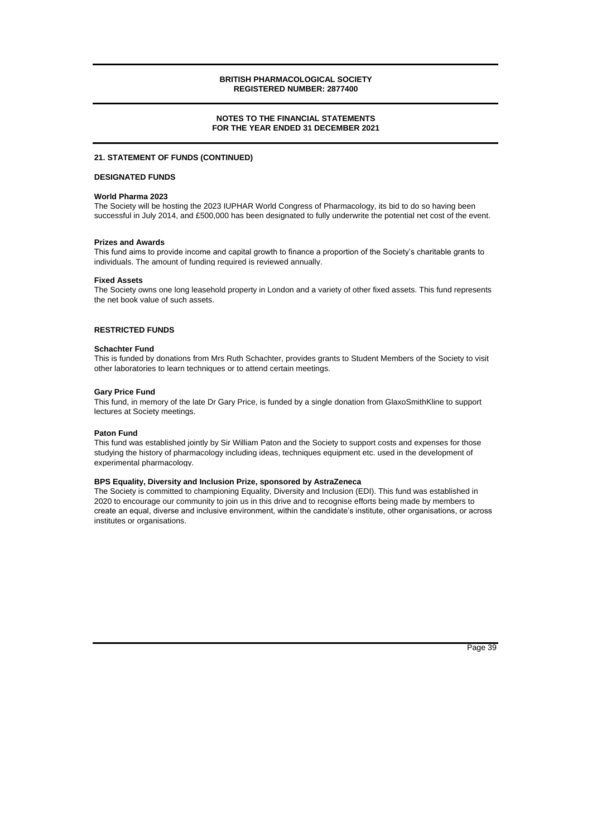### **NOTES TO THE FINANCIAL STATEMENTS FOR THE YEAR ENDED 31 DECEMBER 2021**

#### **21. STATEMENT OF FUNDS (CONTINUED)**

### **DESIGNATED FUNDS**

#### **World Pharma 2023**

The Society will be hosting the 2023 IUPHAR World Congress of Pharmacology, its bid to do so having been successful in July 2014, and £500,000 has been designated to fully underwrite the potential net cost of the event.

#### **Prizes and Awards**

This fund aims to provide income and capital growth to finance a proportion of the Society's charitable grants to individuals. The amount of funding required is reviewed annually.

#### **Fixed Assets**

The Society owns one long leasehold property in London and a variety of other fixed assets. This fund represents the net book value of such assets.

#### **RESTRICTED FUNDS**

#### **Schachter Fund**

This is funded by donations from Mrs Ruth Schachter, provides grants to Student Members of the Society to visit other laboratories to learn techniques or to attend certain meetings.

#### **Gary Price Fund**

This fund, in memory of the late Dr Gary Price, is funded by a single donation from GlaxoSmithKline to support lectures at Society meetings.

#### **Paton Fund**

This fund was established jointly by Sir William Paton and the Society to support costs and expenses for those studying the history of pharmacology including ideas, techniques equipment etc. used in the development of experimental pharmacology.

#### **BPS Equality, Diversity and Inclusion Prize, sponsored by AstraZeneca**

The Society is committed to championing Equality, Diversity and Inclusion (EDI). This fund was established in 2020 to encourage our community to join us in this drive and to recognise efforts being made by members to create an equal, diverse and inclusive environment, within the candidate's institute, other organisations, or across institutes or organisations.

Page 39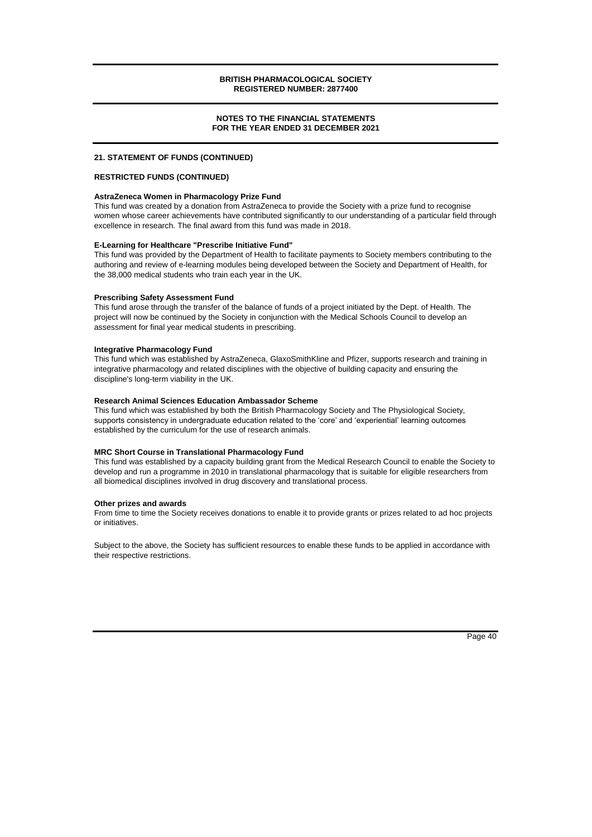### **NOTES TO THE FINANCIAL STATEMENTS FOR THE YEAR ENDED 31 DECEMBER 2021**

#### **21. STATEMENT OF FUNDS (CONTINUED)**

### **RESTRICTED FUNDS (CONTINUED)**

#### **AstraZeneca Women in Pharmacology Prize Fund**

This fund was created by a donation from AstraZeneca to provide the Society with a prize fund to recognise women whose career achievements have contributed significantly to our understanding of a particular field through excellence in research. The final award from this fund was made in 2018.

#### **E-Learning for Healthcare "Prescribe Initiative Fund"**

This fund was provided by the Department of Health to facilitate payments to Society members contributing to the authoring and review of e-learning modules being developed between the Society and Department of Health, for the 38,000 medical students who train each year in the UK.

#### **Prescribing Safety Assessment Fund**

This fund arose through the transfer of the balance of funds of a project initiated by the Dept. of Health. The project will now be continued by the Society in conjunction with the Medical Schools Council to develop an assessment for final year medical students in prescribing.

#### **Integrative Pharmacology Fund**

This fund which was established by AstraZeneca, GlaxoSmithKline and Pfizer, supports research and training in integrative pharmacology and related disciplines with the objective of building capacity and ensuring the discipline's long-term viability in the UK.

#### **Research Animal Sciences Education Ambassador Scheme**

This fund which was established by both the British Pharmacology Society and The Physiological Society, supports consistency in undergraduate education related to the 'core' and 'experiential' learning outcomes established by the curriculum for the use of research animals.

#### **MRC Short Course in Translational Pharmacology Fund**

This fund was established by a capacity building grant from the Medical Research Council to enable the Society to develop and run a programme in 2010 in translational pharmacology that is suitable for eligible researchers from all biomedical disciplines involved in drug discovery and translational process.

#### **Other prizes and awards**

From time to time the Society receives donations to enable it to provide grants or prizes related to ad hoc projects or initiatives.

Subject to the above, the Society has sufficient resources to enable these funds to be applied in accordance with their respective restrictions.

Page 40